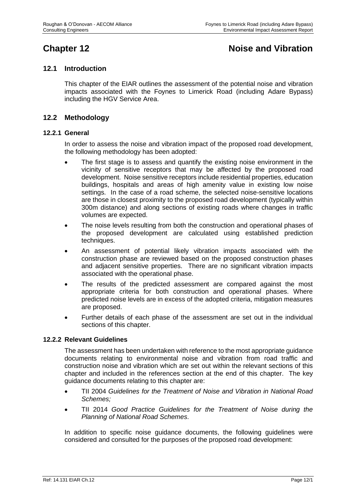# **Chapter 12 Chapter 12 Noise and Vibration**

## **12.1 Introduction**

This chapter of the EIAR outlines the assessment of the potential noise and vibration impacts associated with the Foynes to Limerick Road (including Adare Bypass) including the HGV Service Area.

## **12.2 Methodology**

#### **12.2.1 General**

In order to assess the noise and vibration impact of the proposed road development, the following methodology has been adopted:

- The first stage is to assess and quantify the existing noise environment in the vicinity of sensitive receptors that may be affected by the proposed road development. Noise sensitive receptors include residential properties, education buildings, hospitals and areas of high amenity value in existing low noise settings. In the case of a road scheme, the selected noise-sensitive locations are those in closest proximity to the proposed road development (typically within 300m distance) and along sections of existing roads where changes in traffic volumes are expected.
- The noise levels resulting from both the construction and operational phases of the proposed development are calculated using established prediction techniques.
- An assessment of potential likely vibration impacts associated with the construction phase are reviewed based on the proposed construction phases and adjacent sensitive properties. There are no significant vibration impacts associated with the operational phase.
- The results of the predicted assessment are compared against the most appropriate criteria for both construction and operational phases. Where predicted noise levels are in excess of the adopted criteria, mitigation measures are proposed.
- Further details of each phase of the assessment are set out in the individual sections of this chapter.

#### **12.2.2 Relevant Guidelines**

The assessment has been undertaken with reference to the most appropriate guidance documents relating to environmental noise and vibration from road traffic and construction noise and vibration which are set out within the relevant sections of this chapter and included in the references section at the end of this chapter. The key guidance documents relating to this chapter are:

- TII 2004 *Guidelines for the Treatment of Noise and Vibration in National Road Schemes;*
- TII 2014 *Good Practice Guidelines for the Treatment of Noise during the Planning of National Road Schemes*.

In addition to specific noise guidance documents, the following guidelines were considered and consulted for the purposes of the proposed road development: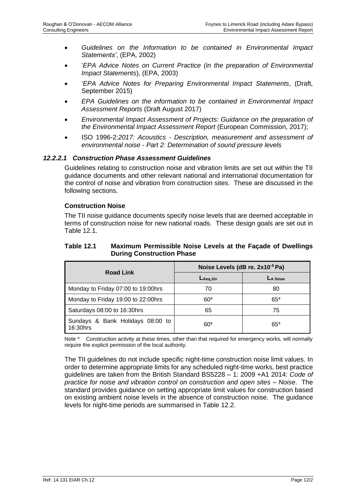- *Guidelines on the Information to be contained in Environmental Impact Statements'*, (EPA, 2002)
- '*EPA Advice Notes on Current Practice (in the preparation of Environmental Impact Statements*), (EPA, 2003)
- '*EPA Advice Notes for Preparing Environmental Impact Statements*, (Draft, September 2015)
- *EPA Guidelines on the information to be contained in Environmental Impact Assessment Reports* (Draft August 2017)
- *Environmental Impact Assessment of Projects: Guidance on the preparation of the Environmental Impact Assessment Report* (European Commission, 2017);
- ISO 1996-2:*2017: Acoustics - Description, measurement and assessment of environmental noise - Part 2: Determination of sound pressure levels*

#### *12.2.2.1 Construction Phase Assessment Guidelines*

Guidelines relating to construction noise and vibration limits are set out within the TII guidance documents and other relevant national and international documentation for the control of noise and vibration from construction sites. These are discussed in the following sections.

#### **Construction Noise**

The TII noise guidance documents specify noise levels that are deemed acceptable in terms of construction noise for new national roads. These design goals are set out in [Table 12.1.](#page-2-0)

#### <span id="page-2-0"></span>**Table 12.1 Maximum Permissible Noise Levels at the Façade of Dwellings During Construction Phase**

| <b>Road Link</b>                             | Noise Levels (dB re. 2x10 <sup>-5</sup> Pa) |            |  |  |
|----------------------------------------------|---------------------------------------------|------------|--|--|
|                                              | $L_{Aeq,1hr}$                               | $L_A$ Smax |  |  |
| Monday to Friday 07:00 to 19:00hrs           | 70                                          | 80         |  |  |
| Monday to Friday 19:00 to 22:00hrs           | $60*$                                       | $65*$      |  |  |
| Saturdays 08:00 to 16:30hrs                  | 65                                          | 75         |  |  |
| Sundays & Bank Holidays 08:00 to<br>16:30hrs | 60*                                         | $65*$      |  |  |

Note \* Construction activity at these times, other than that required for emergency works, will normally require the explicit permission of the local authority.

The TII guidelines do not include specific night-time construction noise limit values. In order to determine appropriate limits for any scheduled night-time works, best practice guidelines are taken from the British Standard BS5228 – 1: 2009 +A1 2014: *Code of practice for noise and vibration control on construction and open sites – Noise*. The standard provides guidance on setting appropriate limit values for construction based on existing ambient noise levels in the absence of construction noise. The guidance levels for night-time periods are summarised in [Table 12.2.](#page-3-0)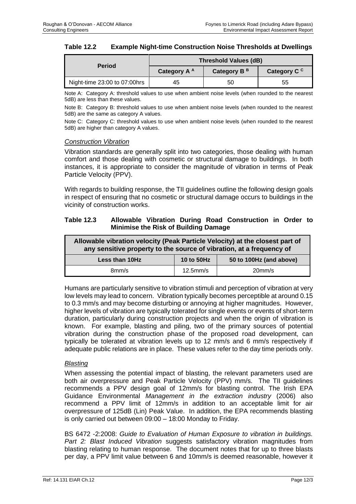<span id="page-3-0"></span>

| <b>Table 12.2</b> | <b>Example Night-time Construction Noise Thresholds at Dwellings</b> |
|-------------------|----------------------------------------------------------------------|
|-------------------|----------------------------------------------------------------------|

| <b>Period</b>                | <b>Threshold Values (dB)</b> |                         |                         |  |  |  |
|------------------------------|------------------------------|-------------------------|-------------------------|--|--|--|
|                              | Category A A                 | Category B <sup>B</sup> | Category C <sup>c</sup> |  |  |  |
| Night-time 23:00 to 07:00hrs | 45                           | 50                      | 55                      |  |  |  |

Note A: Category A: threshold values to use when ambient noise levels (when rounded to the nearest 5dB) are less than these values.

Note B: Category B: threshold values to use when ambient noise levels (when rounded to the nearest 5dB) are the same as category A values.

Note C: Category C: threshold values to use when ambient noise levels (when rounded to the nearest 5dB) are higher than category A values.

#### *Construction Vibration*

Vibration standards are generally split into two categories, those dealing with human comfort and those dealing with cosmetic or structural damage to buildings. In both instances, it is appropriate to consider the magnitude of vibration in terms of Peak Particle Velocity (PPV).

With regards to building response, the TII guidelines outline the following design goals in respect of ensuring that no cosmetic or structural damage occurs to buildings in the vicinity of construction works.

#### <span id="page-3-1"></span>**Table 12.3 Allowable Vibration During Road Construction in Order to Minimise the Risk of Building Damage**

| Allowable vibration velocity (Peak Particle Velocity) at the closest part of<br>any sensitive property to the source of vibration, at a frequency of |  |  |  |  |  |  |  |
|------------------------------------------------------------------------------------------------------------------------------------------------------|--|--|--|--|--|--|--|
| 50 to 100Hz (and above)<br>10 to 50Hz<br>Less than 10Hz                                                                                              |  |  |  |  |  |  |  |
| $12.5$ mm/s<br>20 <sub>mm/s</sub><br>8mm/s                                                                                                           |  |  |  |  |  |  |  |

Humans are particularly sensitive to vibration stimuli and perception of vibration at very low levels may lead to concern. Vibration typically becomes perceptible at around 0.15 to 0.3 mm/s and may become disturbing or annoying at higher magnitudes. However, higher levels of vibration are typically tolerated for single events or events of short-term duration, particularly during construction projects and when the origin of vibration is known. For example, blasting and piling, two of the primary sources of potential vibration during the construction phase of the proposed road development, can typically be tolerated at vibration levels up to 12 mm/s and 6 mm/s respectively if adequate public relations are in place. These values refer to the day time periods only.

#### *Blasting*

When assessing the potential impact of blasting, the relevant parameters used are both air overpressure and Peak Particle Velocity (PPV) mm/s. The TII guidelines recommends a PPV design goal of 12mm/s for blasting control. The Irish EPA Guidance Environmental *Management in the extraction industry* (2006) also recommend a PPV limit of 12mm/s in addition to an acceptable limit for air overpressure of 125dB (Lin) Peak Value. In addition, the EPA recommends blasting is only carried out between 09:00 – 18:00 Monday to Friday.

BS 6472 -2:2008: *Guide to Evaluation of Human Exposure to vibration in buildings. Part 2: Blast Induced Vibration* suggests satisfactory vibration magnitudes from blasting relating to human response. The document notes that for up to three blasts per day, a PPV limit value between 6 and 10mm/s is deemed reasonable, however it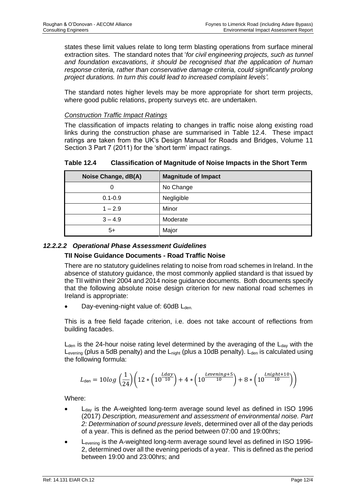states these limit values relate to long term blasting operations from surface mineral extraction sites. The standard notes that '*for civil engineering projects, such as tunnel and foundation excavations, it should be recognised that the application of human response criteria, rather than conservative damage criteria, could significantly prolong project durations. In turn this could lead to increased complaint levels'.* 

The standard notes higher levels may be more appropriate for short term projects, where good public relations, property surveys etc. are undertaken.

#### *Construction Traffic Impact Ratings*

The classification of impacts relating to changes in traffic noise along existing road links during the construction phase are summarised in [Table 12.4.](#page-4-0) These impact ratings are taken from the UK's Design Manual for Roads and Bridges, Volume 11 Section 3 Part 7 (2011) for the 'short term' impact ratings.

<span id="page-4-0"></span>**Table 12.4 Classification of Magnitude of Noise Impacts in the Short Term**

| Noise Change, dB(A) | <b>Magnitude of Impact</b> |
|---------------------|----------------------------|
| 0                   | No Change                  |
| $0.1 - 0.9$         | Negligible                 |
| $1 - 2.9$           | Minor                      |
| $3 - 4.9$           | Moderate                   |
| 5+                  | Major                      |

## *12.2.2.2 Operational Phase Assessment Guidelines*

#### **TII Noise Guidance Documents - Road Traffic Noise**

There are no statutory guidelines relating to noise from road schemes in Ireland. In the absence of statutory guidance, the most commonly applied standard is that issued by the TII within their 2004 and 2014 noise guidance documents. Both documents specify that the following absolute noise design criterion for new national road schemes in Ireland is appropriate:

Day-evening-night value of: 60dB L<sub>den.</sub>

This is a free field façade criterion, i.e. does not take account of reflections from building facades.

 $L<sub>den</sub>$  is the 24-hour noise rating level determined by the averaging of the  $L<sub>day</sub>$  with the  $L_{\text{evening}}$  (plus a 5dB penalty) and the  $L_{\text{night}}$  (plus a 10dB penalty).  $L_{\text{den}}$  is calculated using the following formula:

$$
L_{\text{den}} = 10 \log \left( \frac{1}{24} \right) \left( 12 \times \left( 10^{\frac{Lday}{10}} \right) + 4 \times \left( 10^{\frac{Levening+5}{10}} \right) + 8 \times \left( 10^{\frac{Lnight+10}{10}} \right) \right)
$$

Where:

- $L_{day}$  is the A-weighted long-term average sound level as defined in ISO 1996 (2017) *Description, measurement and assessment of environmental noise. Part 2: Determination of sound pressure levels*, determined over all of the day periods of a year. This is defined as the period between 07:00 and 19:00hrs;
- Levening is the A-weighted long-term average sound level as defined in ISO 1996- 2, determined over all the evening periods of a year. This is defined as the period between 19:00 and 23:00hrs; and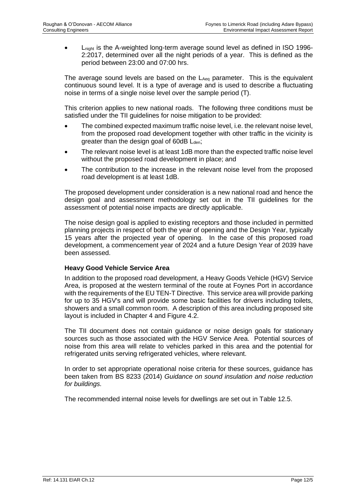• Lnight is the A-weighted long-term average sound level as defined in ISO 1996- 2:2017, determined over all the night periods of a year. This is defined as the period between 23:00 and 07:00 hrs.

The average sound levels are based on the LAeq parameter. This is the equivalent continuous sound level. It is a type of average and is used to describe a fluctuating noise in terms of a single noise level over the sample period (T).

This criterion applies to new national roads. The following three conditions must be satisfied under the TII guidelines for noise mitigation to be provided:

- The combined expected maximum traffic noise level, i.e. the relevant noise level, from the proposed road development together with other traffic in the vicinity is greater than the design goal of  $60dB$   $L<sub>den</sub>$ ;
- The relevant noise level is at least 1dB more than the expected traffic noise level without the proposed road development in place; and
- The contribution to the increase in the relevant noise level from the proposed road development is at least 1dB.

The proposed development under consideration is a new national road and hence the design goal and assessment methodology set out in the TII guidelines for the assessment of potential noise impacts are directly applicable.

The noise design goal is applied to existing receptors and those included in permitted planning projects in respect of both the year of opening and the Design Year, typically 15 years after the projected year of opening. In the case of this proposed road development, a commencement year of 2024 and a future Design Year of 2039 have been assessed.

#### **Heavy Good Vehicle Service Area**

In addition to the proposed road development, a Heavy Goods Vehicle (HGV) Service Area, is proposed at the western terminal of the route at Foynes Port in accordance with the requirements of the EU TEN-T Directive. This service area will provide parking for up to 35 HGV's and will provide some basic facilities for drivers including toilets, showers and a small common room. A description of this area including proposed site layout is included in Chapter 4 and Figure 4.2.

The TII document does not contain guidance or noise design goals for stationary sources such as those associated with the HGV Service Area. Potential sources of noise from this area will relate to vehicles parked in this area and the potential for refrigerated units serving refrigerated vehicles, where relevant.

In order to set appropriate operational noise criteria for these sources, guidance has been taken from BS 8233 (2014) *Guidance on sound insulation and noise reduction for buildings.* 

The recommended internal noise levels for dwellings are set out in [Table 12.5.](#page-6-0)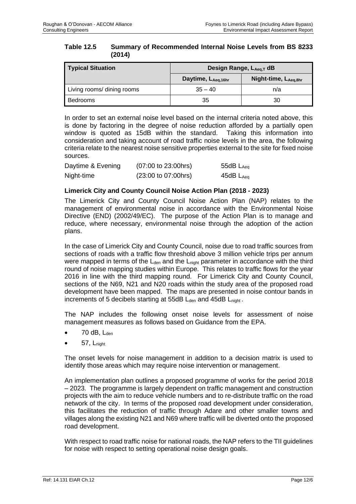<span id="page-6-0"></span>

| <b>Table 12.5</b> | <b>Summary of Recommended Internal Noise Levels from BS 8233</b> |
|-------------------|------------------------------------------------------------------|
|                   | (2014)                                                           |

| <b>Typical Situation</b>   | Design Range, LAeq,T dB |                       |  |  |  |
|----------------------------|-------------------------|-----------------------|--|--|--|
|                            | Daytime, LAeg, 16hr     | Night-time, LAeq, 8hr |  |  |  |
| Living rooms/ dining rooms | $35 - 40$               | n/a                   |  |  |  |
| Bedrooms                   | 35                      | 30                    |  |  |  |

In order to set an external noise level based on the internal criteria noted above, this is done by factoring in the degree of noise reduction afforded by a partially open window is quoted as 15dB within the standard. Taking this information into consideration and taking account of road traffic noise levels in the area, the following criteria relate to the nearest noise sensitive properties external to the site for fixed noise sources.

| Daytime & Evening | $(07:00 \text{ to } 23:00 \text{ hrs})$ | 55 $dB$ $L_{Aeq}$ |
|-------------------|-----------------------------------------|-------------------|
| Night-time        | $(23:00 \text{ to } 07:00 \text{ hrs})$ | 45dB $L_{Aeq}$    |

#### **Limerick City and County Council Noise Action Plan (2018 - 2023)**

The Limerick City and County Council Noise Action Plan (NAP) relates to the management of environmental noise in accordance with the Environmental Noise Directive (END) (2002/49/EC). The purpose of the Action Plan is to manage and reduce, where necessary, environmental noise through the adoption of the action plans.

In the case of Limerick City and County Council, noise due to road traffic sources from sections of roads with a traffic flow threshold above 3 million vehicle trips per annum were mapped in terms of the  $L_{den}$  and the  $L_{nicht}$  parameter in accordance with the third round of noise mapping studies within Europe. This relates to traffic flows for the year 2016 in line with the third mapping round. For Limerick City and County Council, sections of the N69, N21 and N20 roads within the study area of the proposed road development have been mapped. The maps are presented in noise contour bands in increments of 5 decibels starting at 55dB L<sub>den</sub> and 45dB L<sub>night</sub>.

The NAP includes the following onset noise levels for assessment of noise management measures as follows based on Guidance from the EPA.

- 70 dB, Lden
- $57, L_{nioht}$

The onset levels for noise management in addition to a decision matrix is used to identify those areas which may require noise intervention or management.

An implementation plan outlines a proposed programme of works for the period 2018 – 2023. The programme is largely dependent on traffic management and construction projects with the aim to reduce vehicle numbers and to re-distribute traffic on the road network of the city. In terms of the proposed road development under consideration, this facilitates the reduction of traffic through Adare and other smaller towns and villages along the existing N21 and N69 where traffic will be diverted onto the proposed road development.

With respect to road traffic noise for national roads, the NAP refers to the TII guidelines for noise with respect to setting operational noise design goals.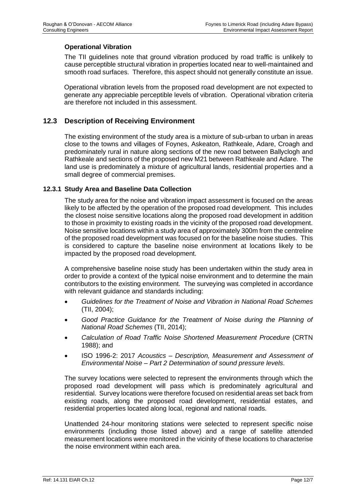### **Operational Vibration**

The TII guidelines note that ground vibration produced by road traffic is unlikely to cause perceptible structural vibration in properties located near to well-maintained and smooth road surfaces. Therefore, this aspect should not generally constitute an issue.

Operational vibration levels from the proposed road development are not expected to generate any appreciable perceptible levels of vibration. Operational vibration criteria are therefore not included in this assessment.

## **12.3 Description of Receiving Environment**

The existing environment of the study area is a mixture of sub-urban to urban in areas close to the towns and villages of Foynes, Askeaton, Rathkeale, Adare, Croagh and predominately rural in nature along sections of the new road between Ballyclogh and Rathkeale and sections of the proposed new M21 between Rathkeale and Adare. The land use is predominately a mixture of agricultural lands, residential properties and a small degree of commercial premises.

#### **12.3.1 Study Area and Baseline Data Collection**

The study area for the noise and vibration impact assessment is focused on the areas likely to be affected by the operation of the proposed road development. This includes the closest noise sensitive locations along the proposed road development in addition to those in proximity to existing roads in the vicinity of the proposed road development. Noise sensitive locations within a study area of approximately 300m from the centreline of the proposed road development was focused on for the baseline noise studies. This is considered to capture the baseline noise environment at locations likely to be impacted by the proposed road development.

A comprehensive baseline noise study has been undertaken within the study area in order to provide a context of the typical noise environment and to determine the main contributors to the existing environment. The surveying was completed in accordance with relevant guidance and standards including:

- *Guidelines for the Treatment of Noise and Vibration in National Road Schemes* (TII, 2004);
- *Good Practice Guidance for the Treatment of Noise during the Planning of National Road Schemes* (TII, 2014);
- *Calculation of Road Traffic Noise Shortened Measurement Procedure* (CRTN 1988); and
- ISO 1996-2: 2017 *Acoustics – Description, Measurement and Assessment of Environmental Noise – Part 2 Determination of sound pressure levels*.

The survey locations were selected to represent the environments through which the proposed road development will pass which is predominately agricultural and residential. Survey locations were therefore focused on residential areas set back from existing roads, along the proposed road development, residential estates, and residential properties located along local, regional and national roads.

Unattended 24-hour monitoring stations were selected to represent specific noise environments (including those listed above) and a range of satellite attended measurement locations were monitored in the vicinity of these locations to characterise the noise environment within each area.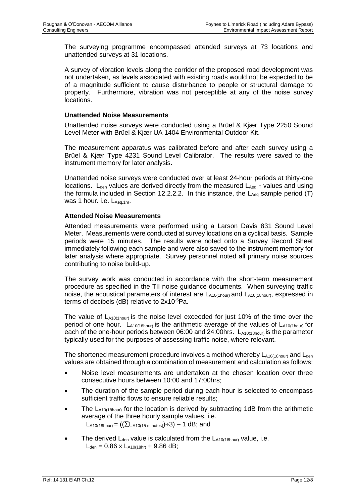The surveying programme encompassed attended surveys at 73 locations and unattended surveys at 31 locations.

A survey of vibration levels along the corridor of the proposed road development was not undertaken, as levels associated with existing roads would not be expected to be of a magnitude sufficient to cause disturbance to people or structural damage to property. Furthermore, vibration was not perceptible at any of the noise survey locations.

#### **Unattended Noise Measurements**

Unattended noise surveys were conducted using a Brüel & Kjær Type 2250 Sound Level Meter with Brüel & Kjær UA 1404 Environmental Outdoor Kit.

The measurement apparatus was calibrated before and after each survey using a Brüel & Kjær Type 4231 Sound Level Calibrator. The results were saved to the instrument memory for later analysis.

Unattended noise surveys were conducted over at least 24-hour periods at thirty-one locations.  $L_{den}$  values are derived directly from the measured  $L_{Aeq, T}$  values and using the formula included in Section 12.2.2.2. In this instance, the  $L_{A_{eq}}$  sample period (T) was 1 hour. i.e.  $L_{Aea,1hr}$ .

#### **Attended Noise Measurements**

Attended measurements were performed using a Larson Davis 831 Sound Level Meter. Measurements were conducted at survey locations on a cyclical basis. Sample periods were 15 minutes. The results were noted onto a Survey Record Sheet immediately following each sample and were also saved to the instrument memory for later analysis where appropriate. Survey personnel noted all primary noise sources contributing to noise build-up.

The survey work was conducted in accordance with the short-term measurement procedure as specified in the TII noise guidance documents. When surveying traffic noise, the acoustical parameters of interest are  $L_{A10(1hour)}$  and  $L_{A10(18hour)}$ , expressed in terms of decibels (dB) relative to 2x10-5Pa.

The value of  $L_{A10(1 hour)}$  is the noise level exceeded for just 10% of the time over the period of one hour. LA10(18hour) is the arithmetic average of the values of LA10(1hour) for each of the one-hour periods between 06:00 and 24:00hrs.  $L_{A10(18h)0H}$  is the parameter typically used for the purposes of assessing traffic noise, where relevant.

The shortened measurement procedure involves a method whereby  $L_{A10(18hour)}$  and  $L_{den}$ values are obtained through a combination of measurement and calculation as follows:

- Noise level measurements are undertaken at the chosen location over three consecutive hours between 10:00 and 17:00hrs;
- The duration of the sample period during each hour is selected to encompass sufficient traffic flows to ensure reliable results;
- The  $L_{A10(18hour)}$  for the location is derived by subtracting 1dB from the arithmetic average of the three hourly sample values, i.e.  $L_{A10(18hour)} = ((\sum_{A10(15 minutes)}) \div 3) - 1$  dB; and
- The derived  $L_{den}$  value is calculated from the  $L_{A10(18hour)}$  value, i.e.  $L_{den} = 0.86$  x  $L_{A10(18hr)} + 9.86$  dB;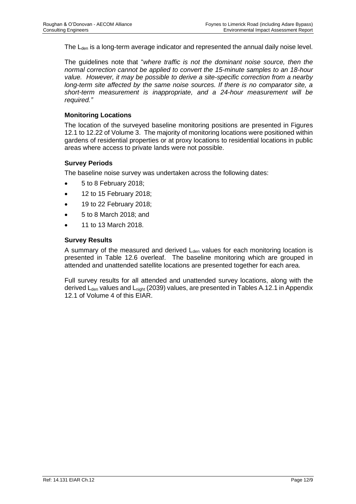The L<sub>den</sub> is a long-term average indicator and represented the annual daily noise level.

The guidelines note that "*where traffic is not the dominant noise source, then the normal correction cannot be applied to convert the 15-minute samples to an 18-hour value. However, it may be possible to derive a site-specific correction from a nearby long-term site affected by the same noise sources. If there is no comparator site, a short-term measurement is inappropriate, and a 24-hour measurement will be required."*

#### **Monitoring Locations**

The location of the surveyed baseline monitoring positions are presented in Figures 12.1 to 12.22 of Volume 3. The majority of monitoring locations were positioned within gardens of residential properties or at proxy locations to residential locations in public areas where access to private lands were not possible.

#### **Survey Periods**

The baseline noise survey was undertaken across the following dates:

- 5 to 8 February 2018;
- 12 to 15 February 2018;
- 19 to 22 February 2018;
- 5 to 8 March 2018; and
- 11 to 13 March 2018.

#### **Survey Results**

A summary of the measured and derived  $L_{den}$  values for each monitoring location is presented in Table 12.6 overleaf. The baseline monitoring which are grouped in attended and unattended satellite locations are presented together for each area.

Full survey results for all attended and unattended survey locations, along with the derived  $L_{den}$  values and  $L_{night}$  (2039) values, are presented in Tables A.12.1 in Appendix 12.1 of Volume 4 of this EIAR.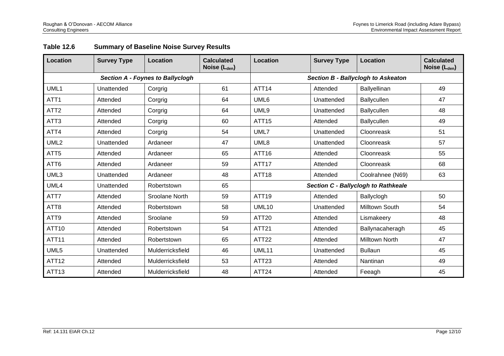| Location         | <b>Survey Type</b>                      | Location         | <b>Calculated</b><br>Noise (L <sub>den</sub> ) | Location                                  | <b>Survey Type</b> | <b>Location</b>                            | <b>Calculated</b><br>Noise (L <sub>den</sub> ) |  |
|------------------|-----------------------------------------|------------------|------------------------------------------------|-------------------------------------------|--------------------|--------------------------------------------|------------------------------------------------|--|
|                  | <b>Section A - Foynes to Ballyclogh</b> |                  |                                                | <b>Section B - Ballyclogh to Askeaton</b> |                    |                                            |                                                |  |
| UML1             | Unattended                              | Corgrig          | 61                                             | ATT <sub>14</sub>                         | Attended           | Ballyellinan                               | 49                                             |  |
| ATT <sub>1</sub> | Attended                                | Corgrig          | 64                                             | UML <sub>6</sub>                          | Unattended         | Ballycullen                                | 47                                             |  |
| ATT <sub>2</sub> | Attended                                | Corgrig          | 64                                             | UML9                                      | Unattended         | Ballycullen                                | 48                                             |  |
| ATT <sub>3</sub> | Attended                                | Corgrig          | 60                                             | <b>ATT15</b>                              | Attended           | Ballycullen                                | 49                                             |  |
| ATT4             | Attended                                | Corgrig          | 54                                             | UML7                                      | Unattended         | Cloonreask                                 | 51                                             |  |
| UML <sub>2</sub> | Unattended                              | Ardaneer         | 47                                             | UML8                                      | Unattended         | Cloonreask                                 | 57                                             |  |
| ATT <sub>5</sub> | Attended                                | Ardaneer         | 65                                             | ATT16                                     | Attended           | Cloonreask                                 | 55                                             |  |
| ATT6             | Attended                                | Ardaneer         | 59                                             | ATT <sub>17</sub>                         | Attended           | Cloonreask                                 | 68                                             |  |
| UML3             | Unattended                              | Ardaneer         | 48                                             | ATT <sub>18</sub>                         | Attended           | Coolrahnee (N69)                           | 63                                             |  |
| UML4             | Unattended                              | Robertstown      | 65                                             |                                           |                    | <b>Section C - Ballyclogh to Rathkeale</b> |                                                |  |
| ATT7             | Attended                                | Sroolane North   | 59                                             | ATT19                                     | Attended           | Ballyclogh                                 | 50                                             |  |
| ATT <sub>8</sub> | Attended                                | Robertstown      | 58                                             | UML <sub>10</sub>                         | Unattended         | Milltown South                             | 54                                             |  |
| ATT9             | Attended                                | Sroolane         | 59                                             | ATT <sub>20</sub>                         | Attended           | Lismakeery                                 | 48                                             |  |
| ATT10            | Attended                                | Robertstown      | 54                                             | <b>ATT21</b>                              | Attended           | Ballynacaheragh                            | 45                                             |  |
| ATT11            | Attended                                | Robertstown      | 65                                             | ATT22                                     | Attended           | Milltown North                             | 47                                             |  |
| UML5             | Unattended                              | Mulderricksfield | 46                                             | UML11                                     | Unattended         | <b>Bullaun</b>                             | 45                                             |  |
| ATT12            | Attended                                | Mulderricksfield | 53                                             | ATT <sub>23</sub>                         | Attended           | Nantinan                                   | 49                                             |  |
| ATT13            | Attended                                | Mulderricksfield | 48                                             | ATT24                                     | Attended           | Feeagh                                     | 45                                             |  |

## **Table 12.6 Summary of Baseline Noise Survey Results**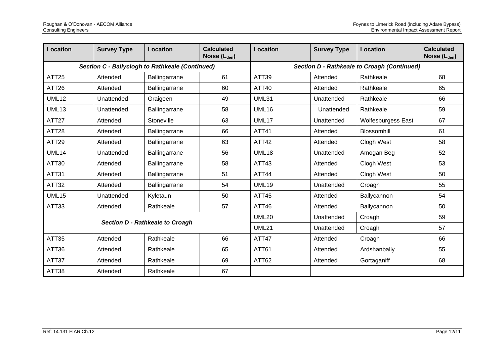| Location                        | <b>Survey Type</b> | <b>Location</b>                                 | <b>Calculated</b><br>Noise (L <sub>den</sub> ) | <b>Location</b>   | <b>Survey Type</b> | <b>Location</b>                             | <b>Calculated</b><br>Noise (L <sub>den</sub> ) |
|---------------------------------|--------------------|-------------------------------------------------|------------------------------------------------|-------------------|--------------------|---------------------------------------------|------------------------------------------------|
|                                 |                    | Section C - Ballyclogh to Rathkeale (Continued) |                                                |                   |                    | Section D - Rathkeale to Croagh (Continued) |                                                |
| ATT25                           | Attended           | Ballingarrane                                   | 61                                             | ATT <sub>39</sub> | Attended           | Rathkeale                                   | 68                                             |
| ATT26                           | Attended           | Ballingarrane                                   | 60                                             | ATT40             | Attended           | Rathkeale                                   | 65                                             |
| <b>UML12</b>                    | Unattended         | Graigeen                                        | 49                                             | UML31             | Unattended         | Rathkeale                                   | 66                                             |
| <b>UML13</b>                    | Unattended         | Ballingarrane                                   | 58                                             | <b>UML16</b>      | Unattended         | Rathkeale                                   | 59                                             |
| ATT27                           | Attended           | Stoneville                                      | 63                                             | UML17             | Unattended         | <b>Wolfesburgess East</b>                   | 67                                             |
| ATT28                           | Attended           | Ballingarrane                                   | 66                                             | <b>ATT41</b>      | Attended           | <b>Blossomhill</b>                          | 61                                             |
| ATT29                           | Attended           | Ballingarrane                                   | 63                                             | <b>ATT42</b>      | Attended           | Clogh West                                  | 58                                             |
| UML14                           | Unattended         | Ballingarrane                                   | 56                                             | <b>UML18</b>      | Unattended         | Amogan Beg                                  | 52                                             |
| ATT30                           | Attended           | Ballingarrane                                   | 58                                             | ATT43             | Attended           | Clogh West                                  | 53                                             |
| ATT31                           | Attended           | Ballingarrane                                   | 51                                             | ATT44             | Attended           | Clogh West                                  | 50                                             |
| ATT32                           | Attended           | Ballingarrane                                   | 54                                             | <b>UML19</b>      | Unattended         | Croagh                                      | 55                                             |
| <b>UML15</b>                    | Unattended         | Kyletaun                                        | 50                                             | <b>ATT45</b>      | Attended           | Ballycannon                                 | 54                                             |
| ATT33                           | Attended           | Rathkeale                                       | 57                                             | ATT46             | Attended           | Ballycannon                                 | 50                                             |
|                                 |                    |                                                 |                                                | <b>UML20</b>      | Unattended         | Croagh                                      | 59                                             |
| Section D - Rathkeale to Croagh |                    |                                                 | <b>UML21</b>                                   | Unattended        | Croagh             | 57                                          |                                                |
| ATT35                           | Attended           | Rathkeale                                       | 66                                             | ATT47             | Attended           | Croagh                                      | 66                                             |
| ATT36                           | Attended           | Rathkeale                                       | 65                                             | ATT61             | Attended           | Ardshanbally                                | 55                                             |
| ATT37                           | Attended           | Rathkeale                                       | 69                                             | ATT62             | Attended           | Gortaganiff                                 | 68                                             |
| ATT38                           | Attended           | Rathkeale                                       | 67                                             |                   |                    |                                             |                                                |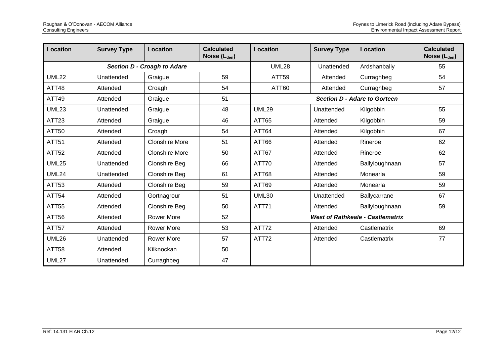| Location                    | <b>Survey Type</b> | <b>Location</b>       | <b>Calculated</b><br>Noise (L <sub>den</sub> ) | Location                                | <b>Survey Type</b> | Location                            | <b>Calculated</b><br>Noise (L <sub>den</sub> ) |
|-----------------------------|--------------------|-----------------------|------------------------------------------------|-----------------------------------------|--------------------|-------------------------------------|------------------------------------------------|
| Section D - Croagh to Adare |                    | <b>UML28</b>          | Unattended                                     | Ardshanbally                            | 55                 |                                     |                                                |
| <b>UML22</b>                | Unattended         | Graigue               | 59                                             | ATT59                                   | Attended           | Curraghbeg                          | 54                                             |
| ATT48                       | Attended           | Croagh                | 54                                             | ATT60                                   | Attended           | Curraghbeg                          | 57                                             |
| ATT49                       | Attended           | Graigue               | 51                                             |                                         |                    | <b>Section D - Adare to Gorteen</b> |                                                |
| <b>UML23</b>                | Unattended         | Graigue               | 48                                             | <b>UML29</b>                            | Unattended         | Kilgobbin                           | 55                                             |
| ATT23                       | Attended           | Graigue               | 46                                             | ATT65                                   | Attended           | Kilgobbin                           | 59                                             |
| ATT50                       | Attended           | Croagh                | 54                                             | ATT64                                   | Attended           | Kilgobbin                           | 67                                             |
| <b>ATT51</b>                | Attended           | <b>Clonshire More</b> | 51                                             | ATT66                                   | Attended           | Rineroe                             | 62                                             |
| <b>ATT52</b>                | Attended           | <b>Clonshire More</b> | 50                                             | ATT67                                   | Attended           | Rineroe                             | 62                                             |
| <b>UML25</b>                | Unattended         | <b>Clonshire Beg</b>  | 66                                             | ATT70                                   | Attended           | Ballyloughnaan                      | 57                                             |
| <b>UML24</b>                | Unattended         | <b>Clonshire Beg</b>  | 61                                             | ATT68                                   | Attended           | Monearla                            | 59                                             |
| ATT53                       | Attended           | <b>Clonshire Beg</b>  | 59                                             | ATT69                                   | Attended           | Monearla                            | 59                                             |
| ATT54                       | Attended           | Gortnagrour           | 51                                             | <b>UML30</b>                            | Unattended         | Ballycarrane                        | 67                                             |
| <b>ATT55</b>                | Attended           | <b>Clonshire Beg</b>  | 50                                             | ATT71                                   | Attended           | Ballyloughnaan                      | 59                                             |
| ATT56                       | Attended           | <b>Rower More</b>     | 52                                             | <b>West of Rathkeale - Castlematrix</b> |                    |                                     |                                                |
| ATT57                       | Attended           | <b>Rower More</b>     | 53                                             | ATT72                                   | Attended           | Castlematrix                        | 69                                             |
| <b>UML26</b>                | Unattended         | <b>Rower More</b>     | 57                                             | ATT72                                   | Attended           | Castlematrix                        | 77                                             |
| <b>ATT58</b>                | Attended           | Kilknockan            | 50                                             |                                         |                    |                                     |                                                |
| <b>UML27</b>                | Unattended         | Curraghbeg            | 47                                             |                                         |                    |                                     |                                                |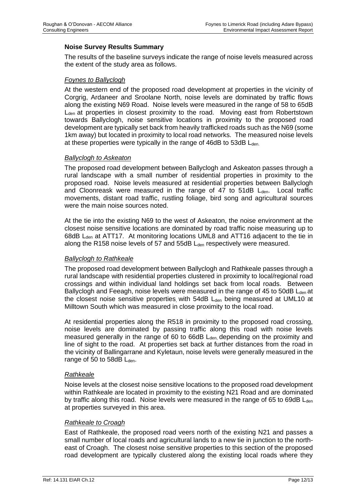#### **Noise Survey Results Summary**

The results of the baseline surveys indicate the range of noise levels measured across the extent of the study area as follows.

#### *Foynes to Ballyclogh*

At the western end of the proposed road development at properties in the vicinity of Corgrig, Ardaneer and Sroolane North, noise levels are dominated by traffic flows along the existing N69 Road. Noise levels were measured in the range of 58 to 65dB  $L<sub>den</sub>$  at properties in closest proximity to the road. Moving east from Robertstown towards Ballyclogh, noise sensitive locations in proximity to the proposed road development are typically set back from heavily trafficked roads such as the N69 (some 1km away) but located in proximity to local road networks. The measured noise levels at these properties were typically in the range of 46dB to 53dB L<sub>den</sub>.

#### *Ballyclogh to Askeaton*

The proposed road development between Ballyclogh and Askeaton passes through a rural landscape with a small number of residential properties in proximity to the proposed road. Noise levels measured at residential properties between Ballyclogh and Cloonreask were measured in the range of 47 to  $51dB$   $L<sub>den</sub>$ . Local traffic movements, distant road traffic, rustling foliage, bird song and agricultural sources were the main noise sources noted.

At the tie into the existing N69 to the west of Askeaton, the noise environment at the closest noise sensitive locations are dominated by road traffic noise measuring up to 68dB L<sub>den</sub> at ATT17. At monitoring locations UML8 and ATT16 adjacent to the tie in along the R158 noise levels of 57 and 55dB  $L_{den}$  respectively were measured.

#### *Ballyclogh to Rathkeale*

The proposed road development between Ballyclogh and Rathkeale passes through a rural landscape with residential properties clustered in proximity to local/regional road crossings and within individual land holdings set back from local roads. Between Ballyclogh and Feeagh, noise levels were measured in the range of 45 to 50dB L<sub>den</sub> at the closest noise sensitive properties with 54dB  $L_{den}$  being measured at UML10 at Milltown South which was measured in close proximity to the local road.

At residential properties along the R518 in proximity to the proposed road crossing, noise levels are dominated by passing traffic along this road with noise levels measured generally in the range of 60 to 66dB L<sub>den,</sub> depending on the proximity and line of sight to the road. At properties set back at further distances from the road in the vicinity of Ballingarrane and Kyletaun, noise levels were generally measured in the range of 50 to 58dB  $L_{den}$ .

#### *Rathkeale*

Noise levels at the closest noise sensitive locations to the proposed road development within Rathkeale are located in proximity to the existing N21 Road and are dominated by traffic along this road. Noise levels were measured in the range of 65 to 69dB  $L_{den}$ at properties surveyed in this area.

#### *Rathkeale to Croagh*

East of Rathkeale, the proposed road veers north of the existing N21 and passes a small number of local roads and agricultural lands to a new tie in junction to the northeast of Croagh. The closest noise sensitive properties to this section of the proposed road development are typically clustered along the existing local roads where they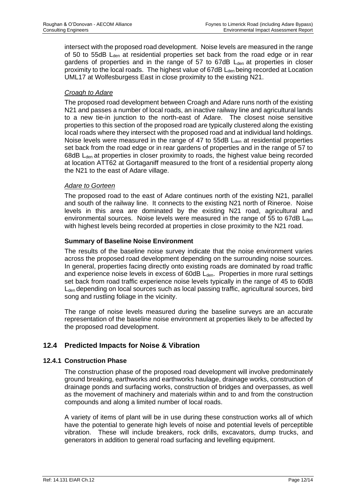intersect with the proposed road development. Noise levels are measured in the range of 50 to 55dB L<sub>den</sub> at residential properties set back from the road edge or in rear gardens of properties and in the range of  $57$  to  $67dB$  L<sub>den</sub> at properties in closer proximity to the local roads. The highest value of  $67dB$   $L<sub>den</sub>$  being recorded at Location UML17 at Wolfesburgess East in close proximity to the existing N21.

#### *Croagh to Adare*

The proposed road development between Croagh and Adare runs north of the existing N21 and passes a number of local roads, an inactive railway line and agricultural lands to a new tie-in junction to the north-east of Adare. The closest noise sensitive properties to this section of the proposed road are typically clustered along the existing local roads where they intersect with the proposed road and at individual land holdings. Noise levels were measured in the range of 47 to  $55dB$  L<sub>den</sub> at residential properties set back from the road edge or in rear gardens of properties and in the range of 57 to 68dB L<sub>den</sub> at properties in closer proximity to roads, the highest value being recorded at location ATT62 at Gortaganiff measured to the front of a residential property along the N21 to the east of Adare village.

### *Adare to Gorteen*

The proposed road to the east of Adare continues north of the existing N21, parallel and south of the railway line. It connects to the existing N21 north of Rineroe. Noise levels in this area are dominated by the existing N21 road, agricultural and environmental sources. Noise levels were measured in the range of 55 to 67dB  $L_{den}$ with highest levels being recorded at properties in close proximity to the N21 road.

### **Summary of Baseline Noise Environment**

The results of the baseline noise survey indicate that the noise environment varies across the proposed road development depending on the surrounding noise sources. In general, properties facing directly onto existing roads are dominated by road traffic and experience noise levels in excess of  $60dB$   $L<sub>den</sub>$ . Properties in more rural settings set back from road traffic experience noise levels typically in the range of 45 to 60dB  $L<sub>den</sub>$  depending on local sources such as local passing traffic, agricultural sources, bird song and rustling foliage in the vicinity.

The range of noise levels measured during the baseline surveys are an accurate representation of the baseline noise environment at properties likely to be affected by the proposed road development.

## **12.4 Predicted Impacts for Noise & Vibration**

#### **12.4.1 Construction Phase**

The construction phase of the proposed road development will involve predominately ground breaking, earthworks and earthworks haulage, drainage works, construction of drainage ponds and surfacing works, construction of bridges and overpasses, as well as the movement of machinery and materials within and to and from the construction compounds and along a limited number of local roads.

A variety of items of plant will be in use during these construction works all of which have the potential to generate high levels of noise and potential levels of perceptible vibration. These will include breakers, rock drills, excavators, dump trucks, and generators in addition to general road surfacing and levelling equipment.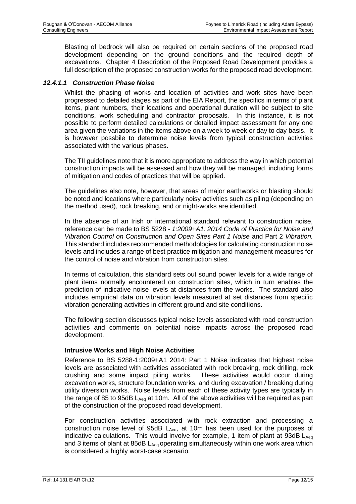Blasting of bedrock will also be required on certain sections of the proposed road development depending on the ground conditions and the required depth of excavations. Chapter 4 Description of the Proposed Road Development provides a full description of the proposed construction works for the proposed road development.

#### *12.4.1.1 Construction Phase Noise*

Whilst the phasing of works and location of activities and work sites have been progressed to detailed stages as part of the EIA Report, the specifics in terms of plant items, plant numbers, their locations and operational duration will be subject to site conditions, work scheduling and contractor proposals. In this instance, it is not possible to perform detailed calculations or detailed impact assessment for any one area given the variations in the items above on a week to week or day to day basis. It is however possbile to determine noise levels from typical construction activities associated with the various phases.

The TII guidelines note that it is more appropriate to address the way in which potential construction impacts will be assessed and how they will be managed, including forms of mitigation and codes of practices that will be applied.

The guidelines also note, however, that areas of major earthworks or blasting should be noted and locations where particularly noisy activities such as piling (depending on the method used), rock breaking, and or night-works are identified.

In the absence of an Irish or international standard relevant to construction noise, reference can be made to BS 5228 *- 1:2009+A1: 2014 Code of Practice for Noise and Vibration Control on Construction and Open Sites Part 1 Noise* and Part 2 *Vibration.*  This standard includes recommended methodologies for calculating construction noise levels and includes a range of best practice mitigation and management measures for the control of noise and vibration from construction sites.

In terms of calculation, this standard sets out sound power levels for a wide range of plant items normally encountered on construction sites, which in turn enables the prediction of indicative noise levels at distances from the works. The standard also includes empirical data on vibration levels measured at set distances from specific vibration generating activities in different ground and site conditions.

The following section discusses typical noise levels associated with road construction activities and comments on potential noise impacts across the proposed road development.

#### **Intrusive Works and High Noise Activities**

Reference to BS 5288-1:2009+A1 2014: Part 1 Noise indicates that highest noise levels are associated with activities associated with rock breaking, rock drilling, rock crushing and some impact piling works. These activities would occur during excavation works, structure foundation works, and during excavation / breaking during utility diversion works. Noise levels from each of these activity types are typically in the range of 85 to 95dB  $L_{Aeq}$  at 10m. All of the above activities will be required as part of the construction of the proposed road development.

For construction activities associated with rock extraction and processing a construction noise level of 95dB LAeq, at 10m has been used for the purposes of indicative calculations. This would involve for example, 1 item of plant at 93dB  $L_{Aeq}$ and 3 items of plant at 85dB L<sub>Aeg</sub> operating simultaneously within one work area which is considered a highly worst-case scenario.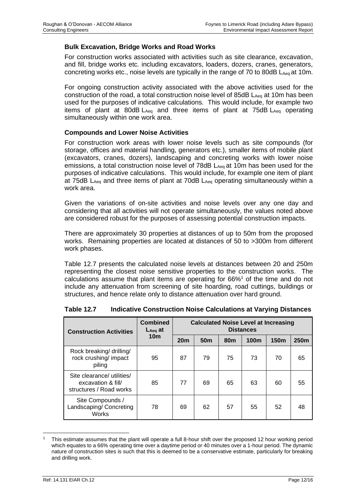#### **Bulk Excavation, Bridge Works and Road Works**

For construction works associated with activities such as site clearance, excavation, and fill, bridge works etc. including excavators, loaders, dozers, cranes, generators, concreting works etc., noise levels are typically in the range of 70 to 80dB  $L_{Aeq}$  at 10m.

For ongoing construction activity associated with the above activities used for the construction of the road, a total construction noise level of 85dB LAeq at 10m has been used for the purposes of indicative calculations. This would include, for example two items of plant at 80dB  $L_{Aea}$  and three items of plant at 75dB  $L_{Aea}$  operating simultaneously within one work area.

#### **Compounds and Lower Noise Activities**

For construction work areas with lower noise levels such as site compounds (for storage, offices and material handling, generators etc.), smaller items of mobile plant (excavators, cranes, dozers), landscaping and concreting works with lower noise emissions, a total construction noise level of  $78dB$  L<sub>Aeq</sub> at 10m has been used for the purposes of indicative calculations. This would include, for example one item of plant at 75dB LAeq and three items of plant at 70dB LAeq operating simultaneously within a work area.

Given the variations of on-site activities and noise levels over any one day and considering that all activities will not operate simultaneously, the values noted above are considered robust for the purposes of assessing potential construction impacts.

There are approximately 30 properties at distances of up to 50m from the proposed works. Remaining properties are located at distances of 50 to >300m from different work phases.

[Table 12.7](#page-16-0) presents the calculated noise levels at distances between 20 and 250m representing the closest noise sensitive properties to the construction works. The calculations assume that plant items are operating for 66%<sup>1</sup> of the time and do not include any attenuation from screening of site hoarding, road cuttings, buildings or structures, and hence relate only to distance attenuation over hard ground.

| <b>Construction Activities</b>                                              | <b>Combined</b><br>$L_{Aeq}$ at | <b>Calculated Noise Level at Increasing</b><br><b>Distances</b> |                 |                 |      |      |                  |  |
|-----------------------------------------------------------------------------|---------------------------------|-----------------------------------------------------------------|-----------------|-----------------|------|------|------------------|--|
|                                                                             | 10 <sub>m</sub>                 | 20 <sub>m</sub>                                                 | 50 <sub>m</sub> | 80 <sub>m</sub> | 100m | 150m | 250 <sub>m</sub> |  |
| Rock breaking/ drilling/<br>rock crushing/ impact<br>piling                 | 95                              | 87                                                              | 79              | 75              | 73   | 70   | 65               |  |
| Site clearance/ utilities/<br>excavation & fill/<br>structures / Road works | 85                              | 77                                                              | 69              | 65              | 63   | 60   | 55               |  |
| Site Compounds /<br>Landscaping/ Concreting<br>Works                        | 78                              | 69                                                              | 62              | 57              | 55   | 52   | 48               |  |

<span id="page-16-0"></span>

| <b>Table 12.7</b> | Indicative Construction Noise Calculations at Varying Distances |  |
|-------------------|-----------------------------------------------------------------|--|
|-------------------|-----------------------------------------------------------------|--|

<sup>1</sup> This estimate assumes that the plant will operate a full 8-hour shift over the proposed 12 hour working period which equates to a 66% operating time over a daytime period or 40 minutes over a 1-hour period. The dynamic nature of construction sites is such that this is deemed to be a conservative estimate, particularly for breaking and drilling work.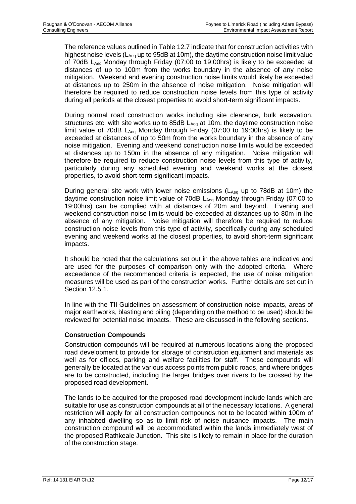The reference values outlined in [Table 12.7](#page-16-0) indicate that for construction activities with highest noise levels ( $L_{Aeq}$  up to 95dB at 10m), the daytime construction noise limit value of 70dB LAeq Monday through Friday (07:00 to 19:00hrs) is likely to be exceeded at distances of up to 100m from the works boundary in the absence of any noise mitigation. Weekend and evening construction noise limits would likely be exceeded at distances up to 250m in the absence of noise mitigation. Noise mitigation will therefore be required to reduce construction noise levels from this type of activity during all periods at the closest properties to avoid short-term significant impacts.

During normal road construction works including site clearance, bulk excavation, structures etc. with site works up to 85dB  $L_{Aeq}$  at 10m, the daytime construction noise limit value of 70dB  $L_{Aea}$  Monday through Friday (07:00 to 19:00hrs) is likely to be exceeded at distances of up to 50m from the works boundary in the absence of any noise mitigation. Evening and weekend construction noise limits would be exceeded at distances up to 150m in the absence of any mitigation. Noise mitigation will therefore be required to reduce construction noise levels from this type of activity, particularly during any scheduled evening and weekend works at the closest properties, to avoid short-term significant impacts.

During general site work with lower noise emissions ( $L_{Aeq}$  up to 78dB at 10m) the daytime construction noise limit value of 70dB LAeq Monday through Friday (07:00 to 19:00hrs) can be complied with at distances of 20m and beyond. Evening and weekend construction noise limits would be exceeded at distances up to 80m in the absence of any mitigation. Noise mitigation will therefore be required to reduce construction noise levels from this type of activity, specifically during any scheduled evening and weekend works at the closest properties, to avoid short-term significant impacts.

It should be noted that the calculations set out in the above tables are indicative and are used for the purposes of comparison only with the adopted criteria. Where exceedance of the recommended criteria is expected, the use of noise mitigation measures will be used as part of the construction works. Further details are set out in Section 12.5.1.

In line with the TII Guidelines on assessment of construction noise impacts, areas of major earthworks, blasting and piling (depending on the method to be used) should be reviewed for potential noise impacts. These are discussed in the following sections.

## **Construction Compounds**

Construction compounds will be required at numerous locations along the proposed road development to provide for storage of construction equipment and materials as well as for offices, parking and welfare facilities for staff. These compounds will generally be located at the various access points from public roads, and where bridges are to be constructed, including the larger bridges over rivers to be crossed by the proposed road development.

The lands to be acquired for the proposed road development include lands which are suitable for use as construction compounds at all of the necessary locations. A general restriction will apply for all construction compounds not to be located within 100m of any inhabited dwelling so as to limit risk of noise nuisance impacts. The main construction compound will be accommodated within the lands immediately west of the proposed Rathkeale Junction. This site is likely to remain in place for the duration of the construction stage.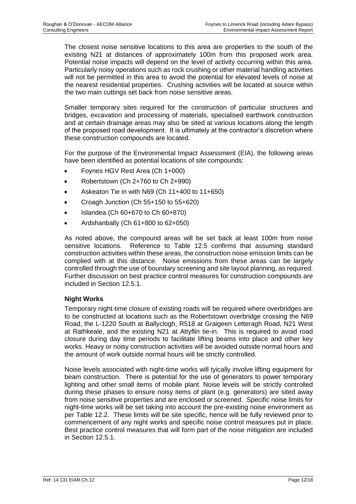The closest noise sensitive locations to this area are properties to the south of the existing N21 at distances of approximately 100m from this proposed work area. Potential noise impacts will depend on the level of activity occurring within this area. Particularly noisy operations such as rock crushing or other material handling activities will not be permitted in this area to avoid the potential for elevated levels of noise at the nearest residential properties. Crushing activities will be located at source within the two main cuttings set back from noise sensitive areas.

Smaller temporary sites required for the construction of particular structures and bridges, excavation and processing of materials, specialised earthwork construction and at certain drainage areas may also be sited at various locations along the length of the proposed road development. It is ultimately at the contractor's discretion where these construction compounds are located.

For the purpose of the Environmental Impact Assessment (EIA), the following areas have been identified as potential locations of site compounds:

- Foynes HGV Rest Area (Ch 1+000)
- Robertstown (Ch 2+760 to Ch 2+990)
- Askeaton Tie in with N69 (Ch 11+400 to 11+650)
- Croagh Junction (Ch 55+150 to 55+620)
- Islandea (Ch 60+670 to Ch 60+870)
- Ardshanbally (Ch 61+800 to 62+050)

As noted above, the compound areas will be set back at least 100m from noise sensitive locations. Reference to [Table 12.5](#page-6-0) confirms that assuming standard construction activities within these areas, the construction noise emission limits can be complied with at this distance. Noise emissions from these areas can be largely controlled through the use of boundary screening and site layout planning, as required. Further discussion on best practice control measures for construction compounds are included in Section 12.5.1.

#### **Night Works**

Temporary night-time closure of existing roads will be required where overbridges are to be constructed at locations such as the Robertstown overbridge crossing the N69 Road, the L-1220 South at Ballyclogh, R518 at Graigeen Letteragh Road, N21 West at Rathkeale, and the existing N21 at Attyflin tie-in. This is required to avoid road closure during day time periods to facilitate lifting beams into place and other key works. Heavy or noisy construction activities will be avoided outside normal hours and the amount of work outside normal hours will be strictly controlled.

Noise levels associated with night-time works will tyically involve lifting equipment for beam construction. There is potential for the use of generators to power temporary lighting and other small items of mobile plant. Noise levels will be strictly controlled during these phases to ensure noisy items of plant (e.g. generators) are sited away from noise sensitive properties and are enclosed or screened. Specific noise limits for night-time works will be set taking into account the pre-existing noise environment as per [Table 12.2.](#page-3-0) These limits will be site specific, hence will be fully reviewed prior to commencement of any night works and specific noise control measures put in place. Best practice control measures that will form part of the noise mitigation are included in Section 12.5.1.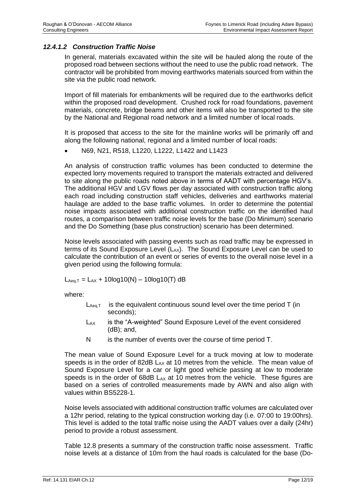### *12.4.1.2 Construction Traffic Noise*

In general, materials excavated within the site will be hauled along the route of the proposed road between sections without the need to use the public road network. The contractor will be prohibited from moving earthworks materials sourced from within the site via the public road network.

Import of fill materials for embankments will be required due to the earthworks deficit within the proposed road development. Crushed rock for road foundations, pavement materials, concrete, bridge beams and other items will also be transported to the site by the National and Regional road network and a limited number of local roads.

It is proposed that access to the site for the mainline works will be primarily off and along the following national, regional and a limited number of local roads:

• N69, N21, R518, L1220, L1222, L1422 and L1423

An analysis of construction traffic volumes has been conducted to determine the expected lorry movements required to transport the materials extracted and delivered to site along the public roads noted above in terms of AADT with percentage HGV's. The additional HGV and LGV flows per day associated with construction traffic along each road including construction staff vehicles, deliveries and earthworks material haulage are added to the base traffic volumes. In order to determine the potential noise impacts associated with additional construction traffic on the identified haul routes, a comparison between traffic noise levels for the base (Do Minimum) scenario and the Do Something (base plus construction) scenario has been determined.

Noise levels associated with passing events such as road traffic may be expressed in terms of its Sound Exposure Level  $(L_{AX})$ . The Sound Exposure Level can be used to calculate the contribution of an event or series of events to the overall noise level in a given period using the following formula:

 $L_{Aeq,T} = L_{AX} + 10log10(N) - 10log10(T)$  dB

where:

- $L_{Aeq,T}$  is the equivalent continuous sound level over the time period T (in seconds);
- L<sub>AX</sub> is the "A-weighted" Sound Exposure Level of the event considered (dB); and,
- N is the number of events over the course of time period T.

The mean value of Sound Exposure Level for a truck moving at low to moderate speeds is in the order of 82dB  $L_{AX}$  at 10 metres from the vehicle. The mean value of Sound Exposure Level for a car or light good vehicle passing at low to moderate speeds is in the order of 68dB  $L_{AX}$  at 10 metres from the vehicle. These figures are based on a series of controlled measurements made by AWN and also align with values within BS5228-1.

Noise levels associated with additional construction traffic volumes are calculated over a 12hr period, relating to the typical construction working day (i.e. 07:00 to 19:00hrs). This level is added to the total traffic noise using the AADT values over a daily (24hr) period to provide a robust assessment.

[Table 12.8](#page-20-0) presents a summary of the construction traffic noise assessment. Traffic noise levels at a distance of 10m from the haul roads is calculated for the base (Do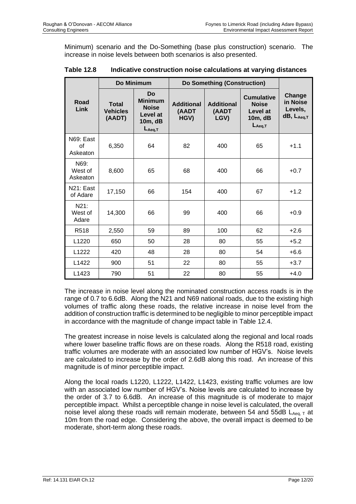Minimum) scenario and the Do-Something (base plus construction) scenario. The increase in noise levels between both scenarios is also presented.

|                             | Do Minimum<br><b>Do Something (Construction)</b> |                                                                            |                                    |                                    |                                                                         |                                                         |
|-----------------------------|--------------------------------------------------|----------------------------------------------------------------------------|------------------------------------|------------------------------------|-------------------------------------------------------------------------|---------------------------------------------------------|
| Road<br>Link                | <b>Total</b><br><b>Vehicles</b><br>(AADT)        | Do<br><b>Minimum</b><br><b>Noise</b><br>Level at<br>10m, dB<br>$L_{Aeq,T}$ | <b>Additional</b><br>(AADT<br>HGV) | <b>Additional</b><br>(AADT<br>LGV) | <b>Cumulative</b><br><b>Noise</b><br>Level at<br>10m, dB<br>$L_{Aeq,T}$ | Change<br>in Noise<br>Levels,<br>dB, L <sub>Aeq,T</sub> |
| N69: East<br>Ωf<br>Askeaton | 6,350                                            | 64                                                                         | 82                                 | 400                                | 65                                                                      | $+1.1$                                                  |
| N69:<br>West of<br>Askeaton | 8,600                                            | 65                                                                         | 68                                 | 400                                | 66                                                                      | $+0.7$                                                  |
| N21: East<br>of Adare       | 17,150                                           | 66                                                                         | 154                                | 400                                | 67                                                                      | $+1.2$                                                  |
| N21:<br>West of<br>Adare    | 14,300                                           | 66                                                                         | 99                                 | 400                                | 66                                                                      | $+0.9$                                                  |
| R <sub>518</sub>            | 2,550                                            | 59                                                                         | 89                                 | 100                                | 62                                                                      | $+2.6$                                                  |
| L <sub>1220</sub>           | 650                                              | 50                                                                         | 28                                 | 80                                 | 55                                                                      | $+5.2$                                                  |
| L1222                       | 420                                              | 48                                                                         | 28                                 | 80                                 | 54                                                                      | $+6.6$                                                  |
| L1422                       | 900                                              | 51                                                                         | 22                                 | 80                                 | 55                                                                      | $+3.7$                                                  |
| L <sub>1423</sub>           | 790                                              | 51                                                                         | 22                                 | 80                                 | 55                                                                      | $+4.0$                                                  |

<span id="page-20-0"></span>

| <b>Table 12.8</b> | Indicative construction noise calculations at varying distances |
|-------------------|-----------------------------------------------------------------|
|-------------------|-----------------------------------------------------------------|

The increase in noise level along the nominated construction access roads is in the range of 0.7 to 6.6dB. Along the N21 and N69 national roads, due to the existing high volumes of traffic along these roads, the relative increase in noise level from the addition of construction traffic is determined to be negligible to minor perceptible impact in accordance with the magnitude of change impact table in [Table 12.4.](#page-4-0)

The greatest increase in noise levels is calculated along the regional and local roads where lower baseline traffic flows are on these roads. Along the R518 road, existing traffic volumes are moderate with an associated low number of HGV's. Noise levels are calculated to increase by the order of 2.6dB along this road. An increase of this magnitude is of minor perceptible impact.

Along the local roads L1220, L1222, L1422, L1423, existing traffic volumes are low with an associated low number of HGV's. Noise levels are calculated to increase by the order of 3.7 to 6.6dB. An increase of this magnitude is of moderate to major perceptible impact. Whilst a perceptible change in noise level is calculated, the overall noise level along these roads will remain moderate, between 54 and 55dB  $L_{Aeq, T}$  at 10m from the road edge. Considering the above, the overall impact is deemed to be moderate, short-term along these roads.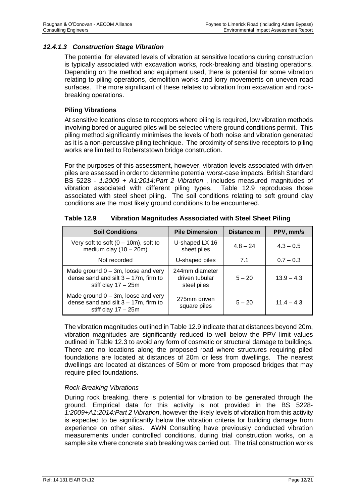#### *12.4.1.3 Construction Stage Vibration*

The potential for elevated levels of vibration at sensitive locations during construction is typically associated with excavation works, rock-breaking and blasting operations. Depending on the method and equipment used, there is potential for some vibration relating to piling operations, demolition works and lorry movements on uneven road surfaces. The more significant of these relates to vibration from excavation and rockbreaking operations.

#### **Piling Vibrations**

At sensitive locations close to receptors where piling is required, low vibration methods involving bored or augured piles will be selected where ground conditions permit. This piling method significantly minimises the levels of both noise and vibration generated as it is a non-percussive piling technique. The proximity of sensitive receptors to piling works are limited to Roberststown bridge construction.

For the purposes of this assessment, however, vibration levels associated with driven piles are assessed in order to determine potential worst-case impacts. British Standard BS 5228 - *1:2009 + A1:2014:Part 2 Vibration* , includes measured magnitudes of vibration associated with different piling types. [Table 12.9](#page-21-0) reproduces those associated with steel sheet piling. The soil conditions relating to soft ground clay conditions are the most likely ground conditions to be encountered.

| <b>Soil Conditions</b>                                                                                    | <b>Pile Dimension</b>                           | Distance m | PPV, mm/s    |
|-----------------------------------------------------------------------------------------------------------|-------------------------------------------------|------------|--------------|
| Very soft to soft $(0 - 10m)$ , soft to<br>medium clay $(10 - 20m)$                                       | U-shaped LX 16<br>sheet piles                   | $4.8 - 24$ | $4.3 - 0.5$  |
| Not recorded                                                                                              | U-shaped piles                                  | 7.1        | $0.7 - 0.3$  |
| Made ground $0 - 3m$ , loose and very<br>dense sand and silt $3 - 17m$ , firm to<br>stiff clay $17 - 25m$ | 244mm diameter<br>driven tubular<br>steel piles | $5 - 20$   | $13.9 - 4.3$ |
| Made ground $0 - 3m$ , loose and very<br>dense sand and silt $3 - 17m$ , firm to<br>stiff clay $17 - 25m$ | 275mm driven<br>square piles                    | $5 - 20$   | $11.4 - 4.3$ |

<span id="page-21-0"></span>

| <b>Table 12.9</b> | Vibration Magnitudes Asssociated with Steel Sheet Piling |
|-------------------|----------------------------------------------------------|
|-------------------|----------------------------------------------------------|

The vibration magnitudes outlined in [Table 12.9](#page-21-0) indicate that at distances beyond 20m, vibration magnitudes are significantly reduced to well below the PPV limit values outlined in [Table 12.3](#page-3-1) to avoid any form of cosmetic or structural damage to buildings. There are no locations along the proposed road where structures requiring piled foundations are located at distances of 20m or less from dwellings. The nearest dwellings are located at distances of 50m or more from proposed bridges that may require piled foundations.

#### *Rock-Breaking Vibrations*

During rock breaking, there is potential for vibration to be generated through the ground. Empirical data for this activity is not provided in the BS 5228- *1:2009+A1:2014:Part 2 Vibration*, however the likely levels of vibration from this activity is expected to be significantly below the vibration criteria for building damage from experience on other sites. AWN Consulting have previously conducted vibration measurements under controlled conditions, during trial construction works, on a sample site where concrete slab breaking was carried out. The trial construction works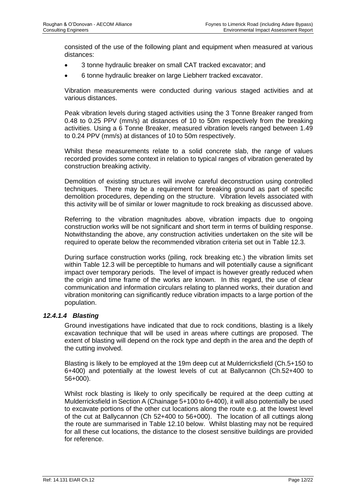consisted of the use of the following plant and equipment when measured at various distances:

- 3 tonne hydraulic breaker on small CAT tracked excavator; and
- 6 tonne hydraulic breaker on large Liebherr tracked excavator.

Vibration measurements were conducted during various staged activities and at various distances.

Peak vibration levels during staged activities using the 3 Tonne Breaker ranged from 0.48 to 0.25 PPV (mm/s) at distances of 10 to 50m respectively from the breaking activities. Using a 6 Tonne Breaker, measured vibration levels ranged between 1.49 to 0.24 PPV (mm/s) at distances of 10 to 50m respectively.

Whilst these measurements relate to a solid concrete slab, the range of values recorded provides some context in relation to typical ranges of vibration generated by construction breaking activity.

Demolition of existing structures will involve careful deconstruction using controlled techniques. There may be a requirement for breaking ground as part of specific demolition procedures, depending on the structure. Vibration levels associated with this activity will be of similar or lower magnitude to rock breaking as discussed above.

Referring to the vibration magnitudes above, vibration impacts due to ongoing construction works will be not significant and short term in terms of building response. Notwithstanding the above, any construction activities undertaken on the site will be required to operate below the recommended vibration criteria set out in [Table 12.3.](#page-3-1)

During surface construction works (piling, rock breaking etc.) the vibration limits set within [Table 12.3](#page-3-1) will be perceptible to humans and will potentially cause a significant impact over temporary periods. The level of impact is however greatly reduced when the origin and time frame of the works are known. In this regard, the use of clear communication and information circulars relating to planned works, their duration and vibration monitoring can significantly reduce vibration impacts to a large portion of the population.

#### *12.4.1.4 Blasting*

Ground investigations have indicated that due to rock conditions, blasting is a likely excavation technique that will be used in areas where cuttings are proposed. The extent of blasting will depend on the rock type and depth in the area and the depth of the cutting involved.

Blasting is likely to be employed at the 19m deep cut at Mulderricksfield (Ch.5+150 to 6+400) and potentially at the lowest levels of cut at Ballycannon (Ch.52+400 to 56+000).

Whilst rock blasting is likely to only specifically be required at the deep cutting at Mulderricksfield in Section A (Chainage 5+100 to 6+400), it will also potentially be used to excavate portions of the other cut locations along the route e.g. at the lowest level of the cut at Ballycannon (Ch 52+400 to 56+000). The location of all cuttings along the route are summarised in [Table 12.10](#page-23-0) below. Whilst blasting may not be required for all these cut locations, the distance to the closest sensitive buildings are provided for reference.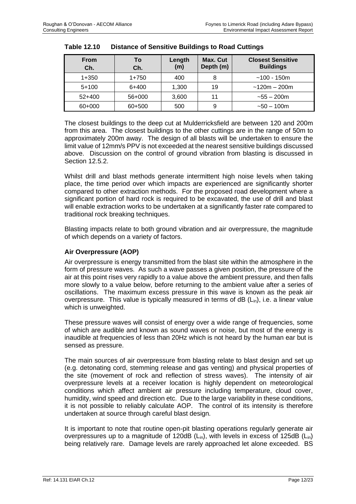| <b>From</b><br>Ch. | То<br>Ch. | Length<br>(m) | Max. Cut<br>Depth (m) | <b>Closest Sensitive</b><br><b>Buildings</b> |
|--------------------|-----------|---------------|-----------------------|----------------------------------------------|
| $1 + 350$          | $1+750$   | 400           | 8                     | $~100 - 150m$                                |
| $5+100$            | 6+400     | 1,300         | 19                    | $~120m - 200m$                               |
| $52+400$           | 56+000    | 3,600         | 11                    | $-55 - 200$ m                                |
| 60+000             | 60+500    | 500           | 9                     | $-50 - 100$ m                                |

<span id="page-23-0"></span>

| <b>Table 12.10</b> | <b>Distance of Sensitive Buildings to Road Cuttings</b> |
|--------------------|---------------------------------------------------------|
|--------------------|---------------------------------------------------------|

The closest buildings to the deep cut at Mulderricksfield are between 120 and 200m from this area. The closest buildings to the other cuttings are in the range of 50m to approximately 200m away. The design of all blasts will be undertaken to ensure the limit value of 12mm/s PPV is not exceeded at the nearest sensitive buildings discussed above. Discussion on the control of ground vibration from blasting is discussed in Section 12.5.2.

Whilst drill and blast methods generate intermittent high noise levels when taking place, the time period over which impacts are experienced are significantly shorter compared to other extraction methods. For the proposed road development where a significant portion of hard rock is required to be excavated, the use of drill and blast will enable extraction works to be undertaken at a significantly faster rate compared to traditional rock breaking techniques.

Blasting impacts relate to both ground vibration and air overpressure, the magnitude of which depends on a variety of factors.

#### **Air Overpressure (AOP)**

Air overpressure is energy transmitted from the blast site within the atmosphere in the form of pressure waves. As such a wave passes a given position, the pressure of the air at this point rises very rapidly to a value above the ambient pressure, and then falls more slowly to a value below, before returning to the ambient value after a series of oscillations. The maximum excess pressure in this wave is known as the peak air overpressure. This value is typically measured in terms of  $dB (L_{in})$ , i.e. a linear value which is unweighted.

These pressure waves will consist of energy over a wide range of frequencies, some of which are audible and known as sound waves or noise, but most of the energy is inaudible at frequencies of less than 20Hz which is not heard by the human ear but is sensed as pressure.

The main sources of air overpressure from blasting relate to blast design and set up (e.g. detonating cord, stemming release and gas venting) and physical properties of the site (movement of rock and reflection of stress waves). The intensity of air overpressure levels at a receiver location is highly dependent on meteorological conditions which affect ambient air pressure including temperature, cloud cover, humidity, wind speed and direction etc. Due to the large variability in these conditions, it is not possible to reliably calculate AOP. The control of its intensity is therefore undertaken at source through careful blast design.

It is important to note that routine open-pit blasting operations regularly generate air overpressures up to a magnitude of 120dB  $(L_{in})$ , with levels in excess of 125dB  $(L_{in})$ being relatively rare. Damage levels are rarely approached let alone exceeded. BS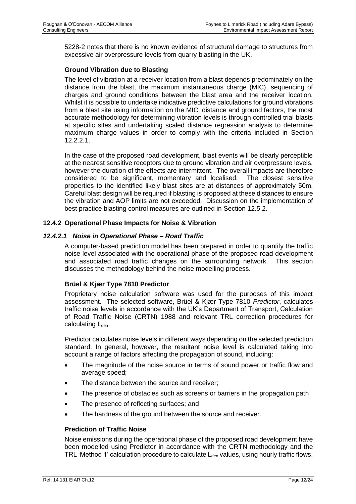5228-2 notes that there is no known evidence of structural damage to structures from excessive air overpressure levels from quarry blasting in the UK.

#### **Ground Vibration due to Blasting**

The level of vibration at a receiver location from a blast depends predominately on the distance from the blast, the maximum instantaneous charge (MIC), sequencing of charges and ground conditions between the blast area and the receiver location. Whilst it is possible to undertake indicative predictive calculations for ground vibrations from a blast site using information on the MIC, distance and ground factors, the most accurate methodology for determining vibration levels is through controlled trial blasts at specific sites and undertaking scaled distance regression analysis to determine maximum charge values in order to comply with the criteria included in Section 12.2.2.1.

In the case of the proposed road development, blast events will be clearly perceptible at the nearest sensitive receptors due to ground vibration and air overpressure levels, however the duration of the effects are intermittent. The overall impacts are therefore considered to be significant, momentary and localised. The closest sensitive properties to the identified likely blast sites are at distances of approximately 50m. Careful blast design will be required if blasting is proposed at these distances to ensure the vibration and AOP limits are not exceeded. Discussion on the implementation of best practice blasting control measures are outlined in Section 12.5.2.

#### **12.4.2 Operational Phase Impacts for Noise & Vibration**

#### *12.4.2.1 Noise in Operational Phase – Road Traffic*

A computer-based prediction model has been prepared in order to quantify the traffic noise level associated with the operational phase of the proposed road development and associated road traffic changes on the surrounding network. This section discusses the methodology behind the noise modelling process.

#### **Brüel & Kjær Type 7810 Predictor**

Proprietary noise calculation software was used for the purposes of this impact assessment. The selected software, Brüel & Kjær Type 7810 *Predictor*, calculates traffic noise levels in accordance with the UK's Department of Transport, Calculation of Road Traffic Noise (CRTN) 1988 and relevant TRL correction procedures for calculating  $L_{den}$ .

Predictor calculates noise levels in different ways depending on the selected prediction standard. In general, however, the resultant noise level is calculated taking into account a range of factors affecting the propagation of sound, including:

- The magnitude of the noise source in terms of sound power or traffic flow and average speed;
- The distance between the source and receiver;
- The presence of obstacles such as screens or barriers in the propagation path
- The presence of reflecting surfaces; and
- The hardness of the ground between the source and receiver.

#### **Prediction of Traffic Noise**

Noise emissions during the operational phase of the proposed road development have been modelled using Predictor in accordance with the CRTN methodology and the TRL 'Method 1' calculation procedure to calculate  $L_{den}$  values, using hourly traffic flows.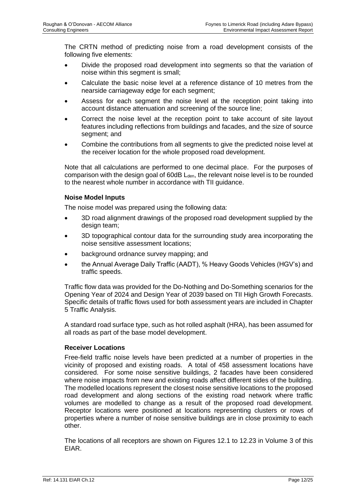The CRTN method of predicting noise from a road development consists of the following five elements:

- Divide the proposed road development into segments so that the variation of noise within this segment is small;
- Calculate the basic noise level at a reference distance of 10 metres from the nearside carriageway edge for each segment;
- Assess for each segment the noise level at the reception point taking into account distance attenuation and screening of the source line;
- Correct the noise level at the reception point to take account of site layout features including reflections from buildings and facades, and the size of source segment; and
- Combine the contributions from all segments to give the predicted noise level at the receiver location for the whole proposed road development.

Note that all calculations are performed to one decimal place. For the purposes of comparison with the design goal of  $60$ dB  $L<sub>den</sub>$ , the relevant noise level is to be rounded to the nearest whole number in accordance with TII guidance.

#### **Noise Model Inputs**

The noise model was prepared using the following data:

- 3D road alignment drawings of the proposed road development supplied by the design team;
- 3D topographical contour data for the surrounding study area incorporating the noise sensitive assessment locations;
- background ordnance survey mapping; and
- the Annual Average Daily Traffic (AADT), % Heavy Goods Vehicles (HGV's) and traffic speeds.

Traffic flow data was provided for the Do-Nothing and Do-Something scenarios for the Opening Year of 2024 and Design Year of 2039 based on TII High Growth Forecasts. Specific details of traffic flows used for both assessment years are included in Chapter 5 Traffic Analysis.

A standard road surface type, such as hot rolled asphalt (HRA), has been assumed for all roads as part of the base model development.

#### **Receiver Locations**

Free-field traffic noise levels have been predicted at a number of properties in the vicinity of proposed and existing roads. A total of 458 assessment locations have considered. For some noise sensitive buildings, 2 facades have been considered where noise impacts from new and existing roads affect different sides of the building. The modelled locations represent the closest noise sensitive locations to the proposed road development and along sections of the existing road network where traffic volumes are modelled to change as a result of the proposed road development. Receptor locations were positioned at locations representing clusters or rows of properties where a number of noise sensitive buildings are in close proximity to each other.

The locations of all receptors are shown on Figures 12.1 to 12.23 in Volume 3 of this EIAR.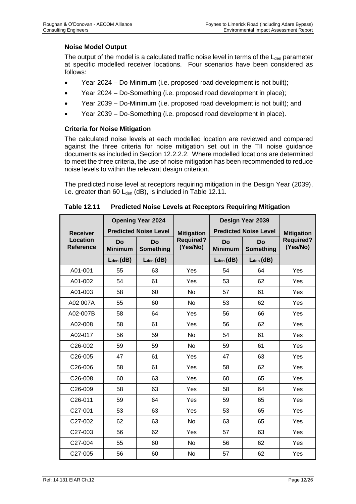#### **Noise Model Output**

The output of the model is a calculated traffic noise level in terms of the  $L_{den}$  parameter at specific modelled receiver locations. Four scenarios have been considered as follows:

- Year 2024 Do-Minimum (i.e. proposed road development is not built);
- Year 2024 Do-Something (i.e. proposed road development in place);
- Year 2039 Do-Minimum (i.e. proposed road development is not built); and
- Year 2039 Do-Something (i.e. proposed road development in place).

### **Criteria for Noise Mitigation**

The calculated noise levels at each modelled location are reviewed and compared against the three criteria for noise mitigation set out in the TII noise guidance documents as included in Section 12.2.2.2. Where modelled locations are determined to meet the three criteria, the use of noise mitigation has been recommended to reduce noise levels to within the relevant design criterion.

The predicted noise level at receptors requiring mitigation in the Design Year (2039), i.e. greater than 60  $L_{den}$  (dB), is included in [Table 12.11.](#page-26-0)

<span id="page-26-0"></span>

|                                     | <b>Opening Year 2024</b>    |                              |                              | Design Year 2039     |                              |                              |
|-------------------------------------|-----------------------------|------------------------------|------------------------------|----------------------|------------------------------|------------------------------|
| <b>Receiver</b>                     |                             | <b>Predicted Noise Level</b> | <b>Mitigation</b>            |                      | <b>Predicted Noise Level</b> | <b>Mitigation</b>            |
| <b>Location</b><br><b>Reference</b> | <b>Do</b><br><b>Minimum</b> | Do<br><b>Something</b>       | <b>Required?</b><br>(Yes/No) | Do<br><b>Minimum</b> | Do<br>Something              | <b>Required?</b><br>(Yes/No) |
|                                     | $L_{den}$ (dB)              | $L_{den}$ (dB)               |                              | $L_{den}$ (dB)       | $L_{den}$ (dB)               |                              |
| A01-001                             | 55                          | 63                           | Yes                          | 54                   | 64                           | Yes                          |
| A01-002                             | 54                          | 61                           | Yes                          | 53                   | 62                           | Yes                          |
| A01-003                             | 58                          | 60                           | No                           | 57                   | 61                           | Yes                          |
| A02 007A                            | 55                          | 60                           | No                           | 53                   | 62                           | Yes                          |
| A02-007B                            | 58                          | 64                           | Yes                          | 56                   | 66                           | Yes                          |
| A02-008                             | 58                          | 61                           | Yes                          | 56                   | 62                           | Yes                          |
| A02-017                             | 56                          | 59                           | <b>No</b>                    | 54                   | 61                           | Yes                          |
| C <sub>26</sub> -002                | 59                          | 59                           | <b>No</b>                    | 59                   | 61                           | Yes                          |
| C26-005                             | 47                          | 61                           | Yes                          | 47                   | 63                           | Yes                          |
| C26-006                             | 58                          | 61                           | Yes                          | 58                   | 62                           | Yes                          |
| C26-008                             | 60                          | 63                           | Yes                          | 60                   | 65                           | Yes                          |
| C26-009                             | 58                          | 63                           | Yes                          | 58                   | 64                           | Yes                          |
| C26-011                             | 59                          | 64                           | Yes                          | 59                   | 65                           | Yes                          |
| C <sub>27</sub> -001                | 53                          | 63                           | Yes                          | 53                   | 65                           | Yes                          |
| C27-002                             | 62                          | 63                           | No                           | 63                   | 65                           | Yes                          |
| C <sub>27</sub> -003                | 56                          | 62                           | Yes                          | 57                   | 63                           | Yes                          |
| C27-004                             | 55                          | 60                           | <b>No</b>                    | 56                   | 62                           | Yes                          |
| C <sub>27</sub> -005                | 56                          | 60                           | No                           | 57                   | 62                           | Yes                          |

**Table 12.11 Predicted Noise Levels at Receptors Requiring Mitigation**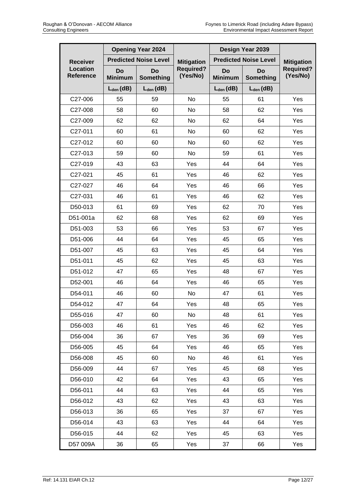|                       | <b>Opening Year 2024</b> |                              |                              | Design Year 2039             |                   |                              |
|-----------------------|--------------------------|------------------------------|------------------------------|------------------------------|-------------------|------------------------------|
| <b>Receiver</b>       |                          | <b>Predicted Noise Level</b> | <b>Mitigation</b>            | <b>Predicted Noise Level</b> | <b>Mitigation</b> |                              |
| Location<br>Reference | Do<br><b>Minimum</b>     | Do<br><b>Something</b>       | <b>Required?</b><br>(Yes/No) | Do<br><b>Minimum</b>         | Do<br>Something   | <b>Required?</b><br>(Yes/No) |
|                       | $L_{den}$ (dB)           | $L_{den}$ (dB)               |                              | $L_{den}$ (dB)               | $L_{den}$ (dB)    |                              |
| C27-006               | 55                       | 59                           | No                           | 55                           | 61                | Yes                          |
| C27-008               | 58                       | 60                           | No                           | 58                           | 62                | Yes                          |
| C27-009               | 62                       | 62                           | No                           | 62                           | 64                | Yes                          |
| C27-011               | 60                       | 61                           | No                           | 60                           | 62                | Yes                          |
| C27-012               | 60                       | 60                           | No                           | 60                           | 62                | Yes                          |
| C27-013               | 59                       | 60                           | No                           | 59                           | 61                | Yes                          |
| C27-019               | 43                       | 63                           | Yes                          | 44                           | 64                | Yes                          |
| C27-021               | 45                       | 61                           | Yes                          | 46                           | 62                | Yes                          |
| C27-027               | 46                       | 64                           | Yes                          | 46                           | 66                | Yes                          |
| C27-031               | 46                       | 61                           | Yes                          | 46                           | 62                | Yes                          |
| D50-013               | 61                       | 69                           | Yes                          | 62                           | 70                | Yes                          |
| D51-001a              | 62                       | 68                           | Yes                          | 62                           | 69                | Yes                          |
| D51-003               | 53                       | 66                           | Yes                          | 53                           | 67                | Yes                          |
| D51-006               | 44                       | 64                           | Yes                          | 45                           | 65                | Yes                          |
| D51-007               | 45                       | 63                           | Yes                          | 45                           | 64                | Yes                          |
| D51-011               | 45                       | 62                           | Yes                          | 45                           | 63                | Yes                          |
| D51-012               | 47                       | 65                           | Yes                          | 48                           | 67                | Yes                          |
| D52-001               | 46                       | 64                           | Yes                          | 46                           | 65                | Yes                          |
| D54-011               | 46                       | 60                           | No                           | 47                           | 61                | Yes                          |
| D54-012               | 47                       | 64                           | Yes                          | 48                           | 65                | Yes                          |
| D55-016               | 47                       | 60                           | No                           | 48                           | 61                | Yes                          |
| D56-003               | 46                       | 61                           | Yes                          | 46                           | 62                | Yes                          |
| D56-004               | 36                       | 67                           | Yes                          | 36                           | 69                | Yes                          |
| D56-005               | 45                       | 64                           | Yes                          | 46                           | 65                | Yes                          |
| D56-008               | 45                       | 60                           | No                           | 46                           | 61                | Yes                          |
| D56-009               | 44                       | 67                           | Yes                          | 45                           | 68                | Yes                          |
| D56-010               | 42                       | 64                           | Yes                          | 43                           | 65                | Yes                          |
| D56-011               | 44                       | 63                           | Yes                          | 44                           | 65                | Yes                          |
| D56-012               | 43                       | 62                           | Yes                          | 43                           | 63                | Yes                          |
| D56-013               | 36                       | 65                           | Yes                          | 37                           | 67                | Yes                          |
| D56-014               | 43                       | 63                           | Yes                          | 44                           | 64                | Yes                          |
| D56-015               | 44                       | 62                           | Yes                          | 45                           | 63                | Yes                          |
| D57 009A              | 36                       | 65                           | Yes                          | 37                           | 66                | Yes                          |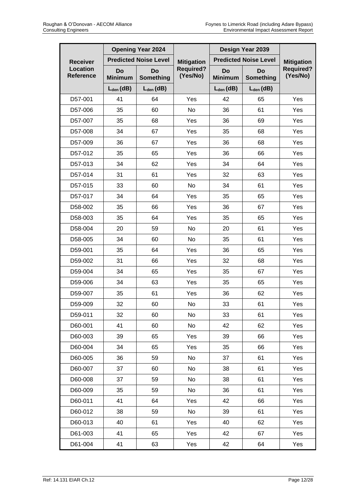|                              | <b>Opening Year 2024</b> |                              |                              | Design Year 2039     |                              |                              |  |
|------------------------------|--------------------------|------------------------------|------------------------------|----------------------|------------------------------|------------------------------|--|
| <b>Receiver</b>              |                          | <b>Predicted Noise Level</b> | <b>Mitigation</b>            |                      | <b>Predicted Noise Level</b> | <b>Mitigation</b>            |  |
| Location<br><b>Reference</b> | Do<br><b>Minimum</b>     | Do<br><b>Something</b>       | <b>Required?</b><br>(Yes/No) | Do<br><b>Minimum</b> | Do<br>Something              | <b>Required?</b><br>(Yes/No) |  |
|                              | $L_{den}$ (dB)           | $L_{den}$ (dB)               |                              | $L_{den}$ (dB)       | $L_{den}$ (dB)               |                              |  |
| D57-001                      | 41                       | 64                           | Yes                          | 42                   | 65                           | Yes                          |  |
| D57-006                      | 35                       | 60                           | No                           | 36                   | 61                           | Yes                          |  |
| D57-007                      | 35                       | 68                           | Yes                          | 36                   | 69                           | Yes                          |  |
| D57-008                      | 34                       | 67                           | Yes                          | 35                   | 68                           | Yes                          |  |
| D57-009                      | 36                       | 67                           | Yes                          | 36                   | 68                           | Yes                          |  |
| D57-012                      | 35                       | 65                           | Yes                          | 36                   | 66                           | Yes                          |  |
| D57-013                      | 34                       | 62                           | Yes                          | 34                   | 64                           | Yes                          |  |
| D57-014                      | 31                       | 61                           | Yes                          | 32                   | 63                           | Yes                          |  |
| D57-015                      | 33                       | 60                           | No                           | 34                   | 61                           | Yes                          |  |
| D57-017                      | 34                       | 64                           | Yes                          | 35                   | 65                           | Yes                          |  |
| D58-002                      | 35                       | 66                           | Yes                          | 36                   | 67                           | Yes                          |  |
| D58-003                      | 35                       | 64                           | Yes                          | 35                   | 65                           | Yes                          |  |
| D58-004                      | 20                       | 59                           | No                           | 20                   | 61                           | Yes                          |  |
| D58-005                      | 34                       | 60                           | No                           | 35                   | 61                           | Yes                          |  |
| D59-001                      | 35                       | 64                           | Yes                          | 36                   | 65                           | Yes                          |  |
| D59-002                      | 31                       | 66                           | Yes                          | 32                   | 68                           | Yes                          |  |
| D59-004                      | 34                       | 65                           | Yes                          | 35                   | 67                           | Yes                          |  |
| D59-006                      | 34                       | 63                           | Yes                          | 35                   | 65                           | Yes                          |  |
| D59-007                      | 35                       | 61                           | Yes                          | 36                   | 62                           | Yes                          |  |
| D59-009                      | 32                       | 60                           | No                           | 33                   | 61                           | Yes                          |  |
| D59-011                      | 32                       | 60                           | No                           | 33                   | 61                           | Yes                          |  |
| D60-001                      | 41                       | 60                           | No                           | 42                   | 62                           | Yes                          |  |
| D60-003                      | 39                       | 65                           | Yes                          | 39                   | 66                           | Yes                          |  |
| D60-004                      | 34                       | 65                           | Yes                          | 35                   | 66                           | Yes                          |  |
| D60-005                      | 36                       | 59                           | No                           | 37                   | 61                           | Yes                          |  |
| D60-007                      | 37                       | 60                           | No                           | 38                   | 61                           | Yes                          |  |
| D60-008                      | 37                       | 59                           | No                           | 38                   | 61                           | Yes                          |  |
| D60-009                      | 35                       | 59                           | No                           | 36                   | 61                           | Yes                          |  |
| D60-011                      | 41                       | 64                           | Yes                          | 42                   | 66                           | Yes                          |  |
| D60-012                      | 38                       | 59                           | No                           | 39                   | 61                           | Yes                          |  |
| D60-013                      | 40                       | 61                           | Yes                          | 40                   | 62                           | Yes                          |  |
| D61-003                      | 41                       | 65                           | Yes                          | 42                   | 67                           | Yes                          |  |
| D61-004                      | 41                       | 63                           | Yes                          | 42                   | 64                           | Yes                          |  |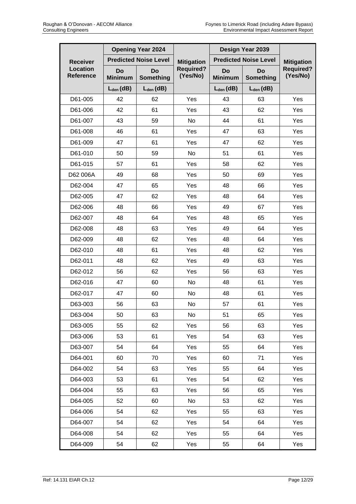|                              |                      | <b>Opening Year 2024</b>     |                              | Design Year 2039     |                              |                              |
|------------------------------|----------------------|------------------------------|------------------------------|----------------------|------------------------------|------------------------------|
| <b>Receiver</b>              |                      | <b>Predicted Noise Level</b> | <b>Mitigation</b>            |                      | <b>Predicted Noise Level</b> | <b>Mitigation</b>            |
| Location<br><b>Reference</b> | Do<br><b>Minimum</b> | Do<br>Something              | <b>Required?</b><br>(Yes/No) | Do<br><b>Minimum</b> | <b>Do</b><br>Something       | <b>Required?</b><br>(Yes/No) |
|                              | $L_{den}$ (dB)       | $L_{den}$ (dB)               |                              | $L_{den}$ (dB)       | $L_{den}$ (dB)               |                              |
| D61-005                      | 42                   | 62                           | Yes                          | 43                   | 63                           | Yes                          |
| D61-006                      | 42                   | 61                           | Yes                          | 43                   | 62                           | Yes                          |
| D61-007                      | 43                   | 59                           | No                           | 44                   | 61                           | Yes                          |
| D61-008                      | 46                   | 61                           | Yes                          | 47                   | 63                           | Yes                          |
| D61-009                      | 47                   | 61                           | Yes                          | 47                   | 62                           | Yes                          |
| D61-010                      | 50                   | 59                           | No                           | 51                   | 61                           | Yes                          |
| D61-015                      | 57                   | 61                           | Yes                          | 58                   | 62                           | Yes                          |
| D62 006A                     | 49                   | 68                           | Yes                          | 50                   | 69                           | Yes                          |
| D62-004                      | 47                   | 65                           | Yes                          | 48                   | 66                           | Yes                          |
| D62-005                      | 47                   | 62                           | Yes                          | 48                   | 64                           | Yes                          |
| D62-006                      | 48                   | 66                           | Yes                          | 49                   | 67                           | Yes                          |
| D62-007                      | 48                   | 64                           | Yes                          | 48                   | 65                           | Yes                          |
| D62-008                      | 48                   | 63                           | Yes                          | 49                   | 64                           | Yes                          |
| D62-009                      | 48                   | 62                           | Yes                          | 48                   | 64                           | Yes                          |
| D62-010                      | 48                   | 61                           | Yes                          | 48                   | 62                           | Yes                          |
| D62-011                      | 48                   | 62                           | Yes                          | 49                   | 63                           | Yes                          |
| D62-012                      | 56                   | 62                           | Yes                          | 56                   | 63                           | Yes                          |
| D62-016                      | 47                   | 60                           | No                           | 48                   | 61                           | Yes                          |
| D62-017                      | 47                   | 60                           | No                           | 48                   | 61                           | Yes                          |
| D63-003                      | 56                   | 63                           | No                           | 57                   | 61                           | Yes                          |
| D63-004                      | 50                   | 63                           | No                           | 51                   | 65                           | Yes                          |
| D63-005                      | 55                   | 62                           | Yes                          | 56                   | 63                           | Yes                          |
| D63-006                      | 53                   | 61                           | Yes                          | 54                   | 63                           | Yes                          |
| D63-007                      | 54                   | 64                           | Yes                          | 55                   | 64                           | Yes                          |
| D64-001                      | 60                   | 70                           | Yes                          | 60                   | 71                           | Yes                          |
| D64-002                      | 54                   | 63                           | Yes                          | 55                   | 64                           | Yes                          |
| D64-003                      | 53                   | 61                           | Yes                          | 54                   | 62                           | Yes                          |
| D64-004                      | 55                   | 63                           | Yes                          | 56                   | 65                           | Yes                          |
| D64-005                      | 52                   | 60                           | No                           | 53                   | 62                           | Yes                          |
| D64-006                      | 54                   | 62                           | Yes                          | 55                   | 63                           | Yes                          |
| D64-007                      | 54                   | 62                           | Yes                          | 54                   | 64                           | Yes                          |
| D64-008                      | 54                   | 62                           | Yes                          | 55                   | 64                           | Yes                          |
| D64-009                      | 54                   | 62                           | Yes                          | 55                   | 64                           | Yes                          |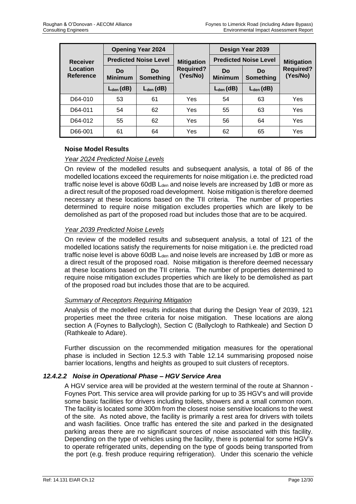|                       | <b>Opening Year 2024</b>     |                 |                              | Design Year 2039             | <b>Mitigation</b> |                              |
|-----------------------|------------------------------|-----------------|------------------------------|------------------------------|-------------------|------------------------------|
| <b>Receiver</b>       | <b>Predicted Noise Level</b> |                 | <b>Mitigation</b>            | <b>Predicted Noise Level</b> |                   |                              |
| Location<br>Reference | Do<br><b>Minimum</b>         | Do<br>Something | <b>Required?</b><br>(Yes/No) | Do<br><b>Minimum</b>         | Do<br>Something   | <b>Required?</b><br>(Yes/No) |
|                       | $L_{den}$ (dB)               | $L_{den}$ (dB)  |                              | $L_{den}$ (dB)               | $L_{den}$ (dB)    |                              |
| D64-010               | 53                           | 61              | Yes                          | 54                           | 63                | Yes                          |
| D64-011               | 54                           | 62              | Yes                          | 55                           | 63                | Yes                          |
| D64-012               | 55                           | 62              | Yes                          | 56                           | 64                | Yes                          |
| D66-001               | 61                           | 64              | Yes                          | 62                           | 65                | Yes                          |

### **Noise Model Results**

### *Year 2024 Predicted Noise Levels*

On review of the modelled results and subsequent analysis, a total of 86 of the modelled locations exceed the requirements for noise mitigation i.e. the predicted road traffic noise level is above  $60$ dB  $L<sub>den</sub>$  and noise levels are increased by 1dB or more as a direct result of the proposed road development. Noise mitigation is therefore deemed necessary at these locations based on the TII criteria. The number of properties determined to require noise mitigation excludes properties which are likely to be demolished as part of the proposed road but includes those that are to be acquired.

### *Year 2039 Predicted Noise Levels*

On review of the modelled results and subsequent analysis, a total of 121 of the modelled locations satisfy the requirements for noise mitigation i.e. the predicted road traffic noise level is above  $60$ dB  $L<sub>den</sub>$  and noise levels are increased by 1dB or more as a direct result of the proposed road. Noise mitigation is therefore deemed necessary at these locations based on the TII criteria. The number of properties determined to require noise mitigation excludes properties which are likely to be demolished as part of the proposed road but includes those that are to be acquired.

#### *Summary of Receptors Requiring Mitigation*

Analysis of the modelled results indicates that during the Design Year of 2039, 121 properties meet the three criteria for noise mitigation. These locations are along section A (Foynes to Ballyclogh), Section C (Ballyclogh to Rathkeale) and Section D (Rathkeale to Adare).

Further discussion on the recommended mitigation measures for the operational phase is included in Section 12.5.3 with [Table 12.14](#page-40-0) summarising proposed noise barrier locations, lengths and heights as grouped to suit clusters of receptors.

#### *12.4.2.2 Noise in Operational Phase – HGV Service Area*

A HGV service area will be provided at the western terminal of the route at Shannon - Foynes Port. This service area will provide parking for up to 35 HGV's and will provide some basic facilities for drivers including toilets, showers and a small common room. The facility is located some 300m from the closest noise sensitive locations to the west of the site. As noted above, the facility is primarily a rest area for drivers with toilets and wash facilities. Once traffic has entered the site and parked in the designated parking areas there are no significant sources of noise associated with this facility. Depending on the type of vehicles using the facility, there is potential for some HGV's to operate refrigerated units, depending on the type of goods being transported from the port (e.g. fresh produce requiring refrigeration). Under this scenario the vehicle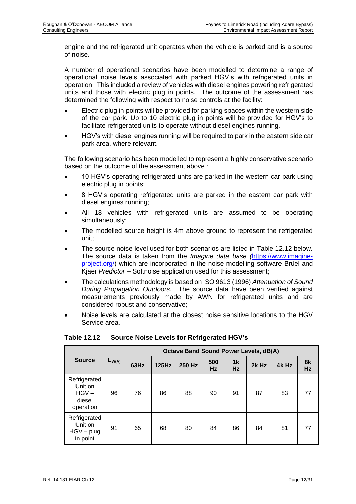engine and the refrigerated unit operates when the vehicle is parked and is a source of noise.

A number of operational scenarios have been modelled to determine a range of operational noise levels associated with parked HGV's with refrigerated units in operation. This included a review of vehicles with diesel engines powering refrigerated units and those with electric plug in points. The outcome of the assessment has determined the following with respect to noise controls at the facility:

- Electric plug in points will be provided for parking spaces within the western side of the car park. Up to 10 electric plug in points will be provided for HGV's to facilitate refrigerated units to operate without diesel engines running.
- HGV's with diesel engines running will be required to park in the eastern side car park area, where relevant.

The following scenario has been modelled to represent a highly conservative scenario based on the outcome of the assessment above :

- 10 HGV's operating refrigerated units are parked in the western car park using electric plug in points;
- 8 HGV's operating refrigerated units are parked in the eastern car park with diesel engines running;
- All 18 vehicles with refrigerated units are assumed to be operating simultaneously;
- The modelled source height is 4m above ground to represent the refrigerated unit;
- The source noise level used for both scenarios are listed in Table 12.12 below. The source data is taken from the *Imagine data base (*[https://www.imagine](https://www.imagine-project.org/)[project.org/\)](https://www.imagine-project.org/) which are incorporated in the noise modelling software Brüel and Kjaer *Predictor –* Softnoise application used for this assessment;
- The calculations methodology is based on ISO 9613 (1996) *Attenuation of Sound During Propagation Outdoors.* The source data have been verified against measurements previously made by AWN for refrigerated units and are considered robust and conservative;
- Noise levels are calculated at the closest noise sensitive locations to the HGV Service area.

|                                                           |            | <b>Octave Band Sound Power Levels, dB(A)</b> |       |        |                  |                      |       |       |          |
|-----------------------------------------------------------|------------|----------------------------------------------|-------|--------|------------------|----------------------|-------|-------|----------|
| <b>Source</b>                                             | $L_{W(A)}$ | 63Hz                                         | 125Hz | 250 Hz | 500<br><b>Hz</b> | 1 <sup>k</sup><br>Hz | 2k Hz | 4k Hz | 8k<br>Hz |
| Refrigerated<br>Unit on<br>$HGV -$<br>diesel<br>operation | 96         | 76                                           | 86    | 88     | 90               | 91                   | 87    | 83    | 77       |
| Refrigerated<br>Unit on<br>$HGV - plug$<br>in point       | 91         | 65                                           | 68    | 80     | 84               | 86                   | 84    | 81    | 77       |

#### **Table 12.12 Source Noise Levels for Refrigerated HGV's**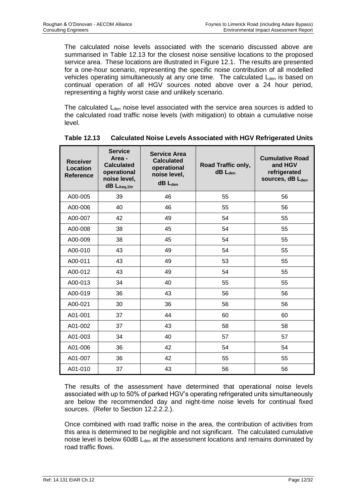The calculated noise levels associated with the scenario discussed above are summarised in [Table 12.13](#page-32-0) for the closest noise sensitive locations to the proposed service area. These locations are illustrated in Figure 12.1. The results are presented for a one-hour scenario, representing the specific noise contribution of all modelled vehicles operating simultaneously at any one time. The calculated  $L<sub>den</sub>$  is based on continual operation of all HGV sources noted above over a 24 hour period, representing a highly worst case and unlikely scenario.

The calculated L<sub>den</sub> noise level associated with the service area sources is added to the calculated road traffic noise levels (with mitigation) to obtain a cumulative noise level.

<span id="page-32-0"></span>

| <b>Receiver</b><br><b>Location</b><br><b>Reference</b> | <b>Service</b><br>Area -<br><b>Calculated</b><br>operational<br>noise level,<br>$dB$ $L_{Aeq,1hr}$ | <b>Service Area</b><br><b>Calculated</b><br>operational<br>noise level,<br>$dB$ $L_{den}$ | Road Traffic only,<br>$dB$ $L_{den}$ | <b>Cumulative Road</b><br>and HGV<br>refrigerated<br>sources, dB Lden |
|--------------------------------------------------------|----------------------------------------------------------------------------------------------------|-------------------------------------------------------------------------------------------|--------------------------------------|-----------------------------------------------------------------------|
| A00-005                                                | 39                                                                                                 | 46                                                                                        | 55                                   | 56                                                                    |
| A00-006                                                | 40                                                                                                 | 46                                                                                        | 55                                   | 56                                                                    |
| A00-007                                                | 42                                                                                                 | 49                                                                                        | 54                                   | 55                                                                    |
| A00-008                                                | 38                                                                                                 | 45                                                                                        | 54                                   | 55                                                                    |
| A00-009                                                | 38                                                                                                 | 45                                                                                        | 54                                   | 55                                                                    |
| A00-010                                                | 43                                                                                                 | 49                                                                                        | 54                                   | 55                                                                    |
| A00-011                                                | 43                                                                                                 | 49                                                                                        | 53                                   | 55                                                                    |
| A00-012                                                | 43                                                                                                 | 49                                                                                        | 54                                   | 55                                                                    |
| A00-013                                                | 34                                                                                                 | 40                                                                                        | 55                                   | 55                                                                    |
| A00-019                                                | 36                                                                                                 | 43                                                                                        | 56                                   | 56                                                                    |
| A00-021                                                | 30                                                                                                 | 36                                                                                        | 56                                   | 56                                                                    |
| A01-001                                                | 37                                                                                                 | 44                                                                                        | 60                                   | 60                                                                    |
| A01-002                                                | 37                                                                                                 | 43                                                                                        | 58                                   | 58                                                                    |
| A01-003                                                | 34                                                                                                 | 40                                                                                        | 57                                   | 57                                                                    |
| A01-006                                                | 36                                                                                                 | 42                                                                                        | 54                                   | 54                                                                    |
| A01-007                                                | 36                                                                                                 | 42                                                                                        | 55                                   | 55                                                                    |
| A01-010                                                | 37                                                                                                 | 43                                                                                        | 56                                   | 56                                                                    |

**Table 12.13 Calculated Noise Levels Associated with HGV Refrigerated Units**

The results of the assessment have determined that operational noise levels associated with up to 50% of parked HGV's operating refrigerated units simultaneously are below the recommended day and night-time noise levels for continual fixed sources. (Refer to Section 12.2.2.2.).

Once combined with road traffic noise in the area, the contribution of activities from this area is determined to be negligible and not significant. The calculated cumulative noise level is below 60dB L<sub>den</sub> at the assessment locations and remains dominated by road traffic flows.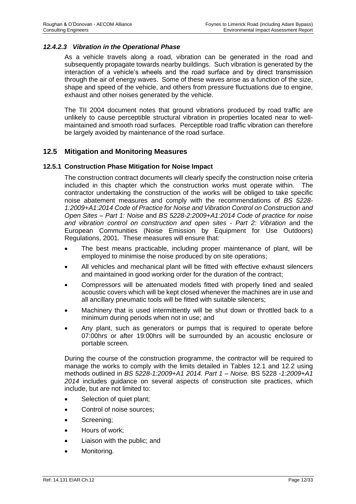#### *12.4.2.3 Vibration in the Operational Phase*

As a vehicle travels along a road, vibration can be generated in the road and subsequently propagate towards nearby buildings. Such vibration is generated by the interaction of a vehicle's wheels and the road surface and by direct transmission through the air of energy waves. Some of these waves arise as a function of the size, shape and speed of the vehicle, and others from pressure fluctuations due to engine, exhaust and other noises generated by the vehicle.

The TII 2004 document notes that ground vibrations produced by road traffic are unlikely to cause perceptible structural vibration in properties located near to wellmaintained and smooth road surfaces. Perceptible road traffic vibration can therefore be largely avoided by maintenance of the road surface.

## **12.5 Mitigation and Monitoring Measures**

#### **12.5.1 Construction Phase Mitigation for Noise Impact**

The construction contract documents will clearly specify the construction noise criteria included in this chapter which the construction works must operate within. The contractor undertaking the construction of the works will be obliged to take specific noise abatement measures and comply with the recommendations of *BS 5228- 1:2009+A1:2014 Code of Practice for Noise and Vibration Control on Construction and Open Sites – Part 1: Noise* and *BS 5228-2:2009+A1:2014 Code of practice for noise and vibration control on construction and open sites - Part 2: Vibration* and the European Communities (Noise Emission by Equipment for Use Outdoors) Regulations, 2001. These measures will ensure that:

- The best means practicable, including proper maintenance of plant, will be employed to minimise the noise produced by on site operations;
- All vehicles and mechanical plant will be fitted with effective exhaust silencers and maintained in good working order for the duration of the contract;
- Compressors will be attenuated models fitted with properly lined and sealed acoustic covers which will be kept closed whenever the machines are in use and all ancillary pneumatic tools will be fitted with suitable silencers;
- Machinery that is used intermittently will be shut down or throttled back to a minimum during periods when not in use; and
- Any plant, such as generators or pumps that is required to operate before 07:00hrs or after 19:00hrs will be surrounded by an acoustic enclosure or portable screen.

During the course of the construction programme, the contractor will be required to manage the works to comply with the limits detailed in Tables 12.1 and 12.2 using methods outlined in *BS 5228-1:2009+A1 2014. Part 1 – Noise.* BS 5228 *-1:2009+A1 2014* includes guidance on several aspects of construction site practices, which include, but are not limited to:

- Selection of quiet plant;
- Control of noise sources;
- Screening;
- Hours of work;
- Liaison with the public; and
- Monitoring.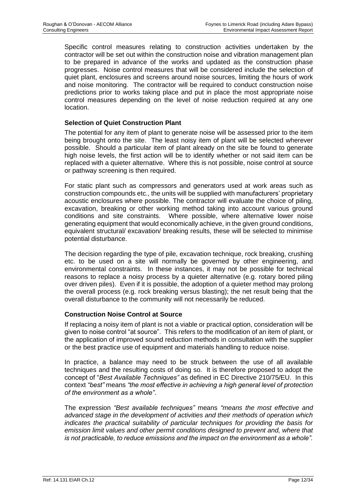Specific control measures relating to construction activities undertaken by the contractor will be set out within the construction noise and vibration management plan to be prepared in advance of the works and updated as the construction phase progresses. Noise control measures that will be considered include the selection of quiet plant, enclosures and screens around noise sources, limiting the hours of work and noise monitoring. The contractor will be required to conduct construction noise predictions prior to works taking place and put in place the most appropriate noise control measures depending on the level of noise reduction required at any one location.

#### **Selection of Quiet Construction Plant**

The potential for any item of plant to generate noise will be assessed prior to the item being brought onto the site. The least noisy item of plant will be selected wherever possible. Should a particular item of plant already on the site be found to generate high noise levels, the first action will be to identify whether or not said item can be replaced with a quieter alternative. Where this is not possible, noise control at source or pathway screening is then required.

For static plant such as compressors and generators used at work areas such as construction compounds etc., the units will be supplied with manufacturers' proprietary acoustic enclosures where possible. The contractor will evaluate the choice of piling, excavation, breaking or other working method taking into account various ground conditions and site constraints. Where possible, where alternative lower noise generating equipment that would economically achieve, in the given ground conditions, equivalent structural/ excavation/ breaking results, these will be selected to minimise potential disturbance.

The decision regarding the type of pile, excavation technique, rock breaking, crushing etc. to be used on a site will normally be governed by other engineering, and environmental constraints. In these instances, it may not be possible for technical reasons to replace a noisy process by a quieter alternative (e.g. rotary bored piling over driven piles). Even if it is possible, the adoption of a quieter method may prolong the overall process (e.g. rock breaking versus blasting); the net result being that the overall disturbance to the community will not necessarily be reduced.

#### **Construction Noise Control at Source**

If replacing a noisy item of plant is not a viable or practical option, consideration will be given to noise control "at source". This refers to the modification of an item of plant, or the application of improved sound reduction methods in consultation with the supplier or the best practice use of equipment and materials handling to reduce noise.

In practice, a balance may need to be struck between the use of all available techniques and the resulting costs of doing so. It is therefore proposed to adopt the concept of "*Best Available Techniques"* as defined in EC Directive 210/75/EU. In this context *"best"* means *"the most effective in achieving a high general level of protection of the environment as a whole"*.

The expression *"Best available techniques"* means *"means the most effective and advanced stage in the development of activities and their methods of operation which indicates the practical suitability of particular techniques for providing the basis for emission limit values and other permit conditions designed to prevent and, where that is not practicable, to reduce emissions and the impact on the environment as a whole".*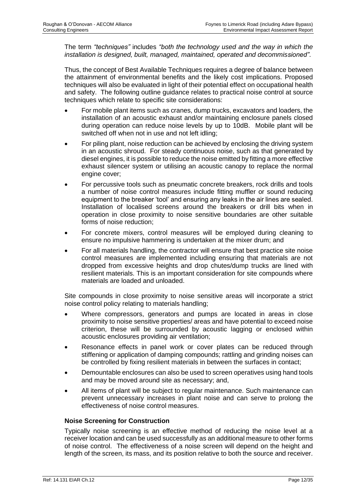The term *"techniques"* includes *"both the technology used and the way in which the installation is designed, built, managed, maintained, operated and decommissioned"*.

Thus, the concept of Best Available Techniques requires a degree of balance between the attainment of environmental benefits and the likely cost implications. Proposed techniques will also be evaluated in light of their potential effect on occupational health and safety. The following outline guidance relates to practical noise control at source techniques which relate to specific site considerations:

- For mobile plant items such as cranes, dump trucks, excavators and loaders, the installation of an acoustic exhaust and/or maintaining enclosure panels closed during operation can reduce noise levels by up to 10dB. Mobile plant will be switched off when not in use and not left idling;
- For piling plant, noise reduction can be achieved by enclosing the driving system in an acoustic shroud. For steady continuous noise, such as that generated by diesel engines, it is possible to reduce the noise emitted by fitting a more effective exhaust silencer system or utilising an acoustic canopy to replace the normal engine cover;
- For percussive tools such as pneumatic concrete breakers, rock drills and tools a number of noise control measures include fitting muffler or sound reducing equipment to the breaker 'tool' and ensuring any leaks in the air lines are sealed. Installation of localised screens around the breakers or drill bits when in operation in close proximity to noise sensitive boundaries are other suitable forms of noise reduction;
- For concrete mixers, control measures will be employed during cleaning to ensure no impulsive hammering is undertaken at the mixer drum; and
- For all materials handling, the contractor will ensure that best practice site noise control measures are implemented including ensuring that materials are not dropped from excessive heights and drop chutes/dump trucks are lined with resilient materials. This is an important consideration for site compounds where materials are loaded and unloaded.

Site compounds in close proximity to noise sensitive areas will incorporate a strict noise control policy relating to materials handling;

- Where compressors, generators and pumps are located in areas in close proximity to noise sensitive properties/ areas and have potential to exceed noise criterion, these will be surrounded by acoustic lagging or enclosed within acoustic enclosures providing air ventilation;
- Resonance effects in panel work or cover plates can be reduced through stiffening or application of damping compounds; rattling and grinding noises can be controlled by fixing resilient materials in between the surfaces in contact;
- Demountable enclosures can also be used to screen operatives using hand tools and may be moved around site as necessary; and,
- All items of plant will be subject to regular maintenance. Such maintenance can prevent unnecessary increases in plant noise and can serve to prolong the effectiveness of noise control measures.

#### **Noise Screening for Construction**

Typically noise screening is an effective method of reducing the noise level at a receiver location and can be used successfully as an additional measure to other forms of noise control. The effectiveness of a noise screen will depend on the height and length of the screen, its mass, and its position relative to both the source and receiver.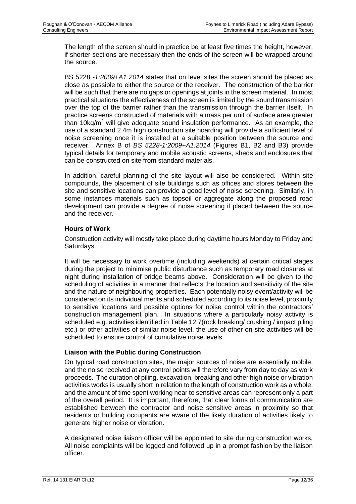The length of the screen should in practice be at least five times the height, however, if shorter sections are necessary then the ends of the screen will be wrapped around the source.

BS 5228 *-1:2009+A1 2014* states that on level sites the screen should be placed as close as possible to either the source or the receiver. The construction of the barrier will be such that there are no gaps or openings at joints in the screen material. In most practical situations the effectiveness of the screen is limited by the sound transmission over the top of the barrier rather than the transmission through the barrier itself. In practice screens constructed of materials with a mass per unit of surface area greater than 10 $kg/m<sup>2</sup>$  will give adequate sound insulation performance. As an example, the use of a standard 2.4m high construction site hoarding will provide a sufficient level of noise screening once it is installed at a suitable position between the source and receiver. Annex B of *BS 5228-1:2009+A1:2014* (Figures B1, B2 and B3) provide typical details for temporary and mobile acoustic screens, sheds and enclosures that can be constructed on site from standard materials.

In addition, careful planning of the site layout will also be considered. Within site compounds, the placement of site buildings such as offices and stores between the site and sensitive locations can provide a good level of noise screening. Similarly, in some instances materials such as topsoil or aggregate along the proposed road development can provide a degree of noise screening if placed between the source and the receiver.

#### **Hours of Work**

Construction activity will mostly take place during daytime hours Monday to Friday and Saturdays.

It will be necessary to work overtime (including weekends) at certain critical stages during the project to minimise public disturbance such as temporary road closures at night during installation of bridge beams above. Consideration will be given to the scheduling of activities in a manner that reflects the location and sensitivity of the site and the nature of neighbouring properties. Each potentially noisy event/activity will be considered on its individual merits and scheduled according to its noise level, proximity to sensitive locations and possible options for noise control within the contractors' construction management plan. In situations where a particularly noisy activity is scheduled e.g. activities identified in [Table 12.7\(](#page-16-0)rock breaking/ crushing / impact piling etc.) or other activities of similar noise level, the use of other on-site activities will be scheduled to ensure control of cumulative noise levels.

#### **Liaison with the Public during Construction**

On typical road construction sites, the major sources of noise are essentially mobile, and the noise received at any control points will therefore vary from day to day as work proceeds. The duration of piling, excavation, breaking and other high noise or vibration activities works is usually short in relation to the length of construction work as a whole, and the amount of time spent working near to sensitive areas can represent only a part of the overall period. It is important, therefore, that clear forms of communication are established between the contractor and noise sensitive areas in proximity so that residents or building occupants are aware of the likely duration of activities likely to generate higher noise or vibration.

A designated noise liaison officer will be appointed to site during construction works. All noise complaints will be logged and followed up in a prompt fashion by the liaison officer.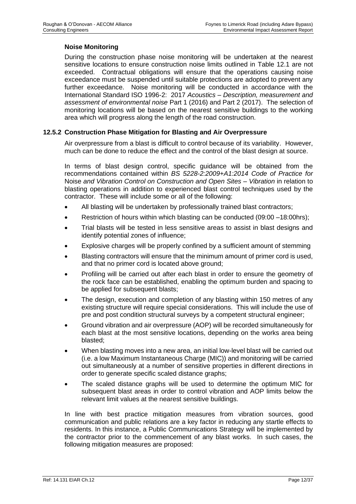## **Noise Monitoring**

During the construction phase noise monitoring will be undertaken at the nearest sensitive locations to ensure construction noise limits outlined in [Table 12.1](#page-2-0) are not exceeded. Contractual obligations will ensure that the operations causing noise exceedance must be suspended until suitable protections are adopted to prevent any further exceedance. Noise monitoring will be conducted in accordance with the International Standard ISO 1996-2: 2017 *Acoustics – Description, measurement and assessment of environmental noise* Part 1 (2016) and Part 2 (2017). The selection of monitoring locations will be based on the nearest sensitive buildings to the working area which will progress along the length of the road construction.

### **12.5.2 Construction Phase Mitigation for Blasting and Air Overpressure**

Air overpressure from a blast is difficult to control because of its variability. However, much can be done to reduce the effect and the control of the blast design at source.

In terms of blast design control, specific guidance will be obtained from the recommendations contained within *BS 5228-2:2009+A1:2014 Code of Practice for*  Noise *and Vibration Control on Construction and Open Sites – Vibration* in relation to blasting operations in addition to experienced blast control techniques used by the contractor. These will include some or all of the following:

- All blasting will be undertaken by professionally trained blast contractors;
- Restriction of hours within which blasting can be conducted (09:00 –18:00hrs);
- Trial blasts will be tested in less sensitive areas to assist in blast designs and identify potential zones of influence;
- Explosive charges will be properly confined by a sufficient amount of stemming
- Blasting contractors will ensure that the minimum amount of primer cord is used, and that no primer cord is located above ground;
- Profiling will be carried out after each blast in order to ensure the geometry of the rock face can be established, enabling the optimum burden and spacing to be applied for subsequent blasts;
- The design, execution and completion of any blasting within 150 metres of any existing structure will require special considerations. This will include the use of pre and post condition structural surveys by a competent structural engineer;
- Ground vibration and air overpressure (AOP) will be recorded simultaneously for each blast at the most sensitive locations, depending on the works area being blasted;
- When blasting moves into a new area, an initial low-level blast will be carried out (i.e. a low Maximum Instantaneous Charge (MIC)) and monitoring will be carried out simultaneously at a number of sensitive properties in different directions in order to generate specific scaled distance graphs;
- The scaled distance graphs will be used to determine the optimum MIC for subsequent blast areas in order to control vibration and AOP limits below the relevant limit values at the nearest sensitive buildings.

In line with best practice mitigation measures from vibration sources, good communication and public relations are a key factor in reducing any startle effects to residents. In this instance, a Public Communications Strategy will be implemented by the contractor prior to the commencement of any blast works. In such cases, the following mitigation measures are proposed: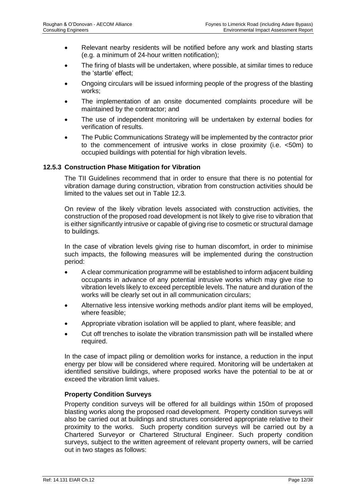- Relevant nearby residents will be notified before any work and blasting starts (e.g. a minimum of 24-hour written notification);
- The firing of blasts will be undertaken, where possible, at similar times to reduce the 'startle' effect;
- Ongoing circulars will be issued informing people of the progress of the blasting works;
- The implementation of an onsite documented complaints procedure will be maintained by the contractor; and
- The use of independent monitoring will be undertaken by external bodies for verification of results.
- The Public Communications Strategy will be implemented by the contractor prior to the commencement of intrusive works in close proximity (i.e. <50m) to occupied buildings with potential for high vibration levels.

### **12.5.3 Construction Phase Mitigation for Vibration**

The TII Guidelines recommend that in order to ensure that there is no potential for vibration damage during construction, vibration from construction activities should be limited to the values set out in [Table 12.3.](#page-3-1)

On review of the likely vibration levels associated with construction activities, the construction of the proposed road development is not likely to give rise to vibration that is either significantly intrusive or capable of giving rise to cosmetic or structural damage to buildings.

In the case of vibration levels giving rise to human discomfort, in order to minimise such impacts, the following measures will be implemented during the construction period:

- A clear communication programme will be established to inform adjacent building occupants in advance of any potential intrusive works which may give rise to vibration levels likely to exceed perceptible levels. The nature and duration of the works will be clearly set out in all communication circulars;
- Alternative less intensive working methods and/or plant items will be employed, where feasible;
- Appropriate vibration isolation will be applied to plant, where feasible; and
- Cut off trenches to isolate the vibration transmission path will be installed where required.

In the case of impact piling or demolition works for instance, a reduction in the input energy per blow will be considered where required. Monitoring will be undertaken at identified sensitive buildings, where proposed works have the potential to be at or exceed the vibration limit values.

#### **Property Condition Surveys**

Property condition surveys will be offered for all buildings within 150m of proposed blasting works along the proposed road development. Property condition surveys will also be carried out at buildings and structures considered appropriate relative to their proximity to the works. Such property condition surveys will be carried out by a Chartered Surveyor or Chartered Structural Engineer. Such property condition surveys, subject to the written agreement of relevant property owners, will be carried out in two stages as follows: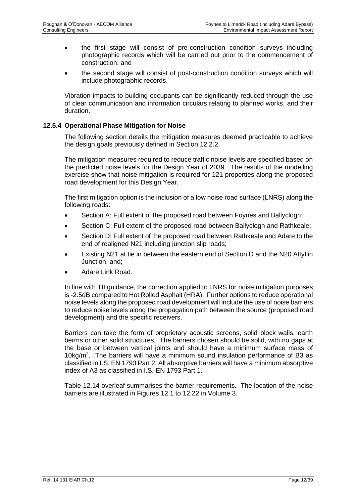- the first stage will consist of pre-construction condition surveys including photographic records which will be carried out prior to the commencement of construction; and
- the second stage will consist of post-construction condition surveys which will include photographic records.

Vibration impacts to building occupants can be significantly reduced through the use of clear communication and information circulars relating to planned works, and their duration.

#### **12.5.4 Operational Phase Mitigation for Noise**

The following section details the mitigation measures deemed practicable to achieve the design goals previously defined in Section 12.2.2.

The mitigation measures required to reduce traffic noise levels are specified based on the predicted noise levels for the Design Year of 2039. The results of the modelling exercise show that noise mitigation is required for 121 properties along the proposed road development for this Design Year.

The first mitigation option is the inclusion of a low noise road surface (LNRS) along the following roads:

- Section A: Full extent of the proposed road between Foynes and Ballyclogh;
- Section C: Full extent of the proposed road between Ballyclogh and Rathkeale;
- Section D: Full extent of the proposed road between Rathkeale and Adare to the end of realigned N21 including junction slip roads;
- Existing N21 at tie in between the eastern end of Section D and the N20 Attyflin Junction, and;
- Adare Link Road.

In line with TII guidance, the correction applied to LNRS for noise mitigation purposes is -2.5dB compared to Hot Rolled Asphalt (HRA). Further options to reduce operational noise levels along the proposed road development will include the use of noise barriers to reduce noise levels along the propagation path between the source (proposed road development) and the specific receivers.

Barriers can take the form of proprietary acoustic screens, solid block walls, earth berms or other solid structures. The barriers chosen should be solid, with no gaps at the base or between vertical joints and should have a minimum surface mass of 10kg/m<sup>2</sup> . The barriers will have a minimum sound insulation performance of B3 as classified in I.S. EN 1793 Part 2. All absorptive barriers will have a minimum absorptive index of A3 as classified in I.S. EN 1793 Part 1.

Table 12.14 overleaf summarises the barrier requirements. The location of the noise barriers are illustrated in Figures 12.1 to 12.22 in Volume 3.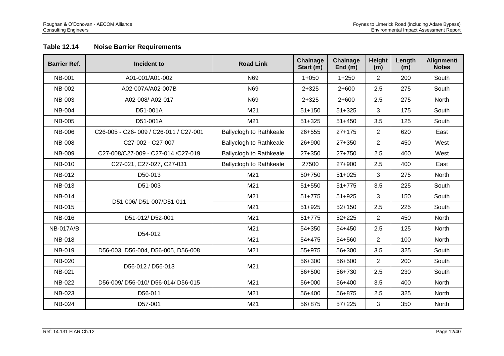## **Table 12.14 Noise Barrier Requirements**

<span id="page-40-0"></span>

| <b>Barrier Ref.</b> | Incident to                           | <b>Road Link</b>               | Chainage<br>Start (m) | Chainage<br>End $(m)$ | <b>Height</b><br>(m) | Length<br>(m) | Alignment/<br><b>Notes</b> |
|---------------------|---------------------------------------|--------------------------------|-----------------------|-----------------------|----------------------|---------------|----------------------------|
| <b>NB-001</b>       | A01-001/A01-002                       | N69                            | $1 + 050$             | $1 + 250$             | $\overline{2}$       | 200           | South                      |
| <b>NB-002</b>       | A02-007A/A02-007B                     | N69                            | $2 + 325$             | $2+600$               | 2.5                  | 275           | South                      |
| <b>NB-003</b>       | A02-008/ A02-017                      | N69                            | $2 + 325$             | $2+600$               | 2.5                  | 275           | North                      |
| <b>NB-004</b>       | D51-001A                              | M21                            | $51 + 150$            | $51 + 325$            | 3                    | 175           | South                      |
| <b>NB-005</b>       | D51-001A                              | M21                            | $51 + 325$            | $51 + 450$            | 3.5                  | 125           | South                      |
| <b>NB-006</b>       | C26-005 - C26-009 / C26-011 / C27-001 | <b>Ballyclogh to Rathkeale</b> | 26+555                | $27 + 175$            | $\overline{2}$       | 620           | East                       |
| <b>NB-008</b>       | C27-002 - C27-007                     | Ballyclogh to Rathkeale        | 26+900                | 27+350                | $\overline{2}$       | 450           | West                       |
| <b>NB-009</b>       | C27-008/C27-009 - C27-014 /C27-019    | <b>Ballyclogh to Rathkeale</b> | $27 + 350$            | 27+750                | 2.5                  | 400           | West                       |
| <b>NB-010</b>       | C27-021, C27-027, C27-031             | Ballyclogh to Rathkeale        | 27500                 | 27+900                | 2.5                  | 400           | East                       |
| <b>NB-012</b>       | D50-013                               | M21                            | 50+750                | $51 + 025$            | 3                    | 275           | North                      |
| <b>NB-013</b>       | D51-003                               | M21                            | $51 + 550$            | $51+775$              | 3.5                  | 225           | South                      |
| <b>NB-014</b>       | D51-006/D51-007/D51-011               | M21                            | $51 + 775$            | $51 + 925$            | 3                    | 150           | South                      |
| <b>NB-015</b>       |                                       | M21                            | $51 + 925$            | $52 + 150$            | 2.5                  | 225           | South                      |
| <b>NB-016</b>       | D51-012/D52-001                       | M21                            | $51+775$              | $52 + 225$            | $\overline{2}$       | 450           | North                      |
| <b>NB-017A/B</b>    | D54-012                               | M21                            | 54+350                | 54+450                | 2.5                  | 125           | North                      |
| <b>NB-018</b>       |                                       | M21                            | 54+475                | 54+560                | $\overline{2}$       | 100           | North                      |
| <b>NB-019</b>       | D56-003, D56-004, D56-005, D56-008    | M21                            | 55+975                | 56+300                | 3.5                  | 325           | South                      |
| <b>NB-020</b>       | D56-012 / D56-013                     | M21                            | 56+300                | 56+500                | $\overline{2}$       | 200           | South                      |
| <b>NB-021</b>       |                                       |                                | 56+500                | 56+730                | 2.5                  | 230           | South                      |
| <b>NB-022</b>       | D56-009/D56-010/D56-014/D56-015       | M21                            | 56+000                | 56+400                | 3.5                  | 400           | North                      |
| NB-023              | D56-011                               | M21                            | 56+400                | 56+875                | 2.5                  | 325           | North                      |
| <b>NB-024</b>       | D57-001                               | M21                            | 56+875                | $57 + 225$            | 3                    | 350           | North                      |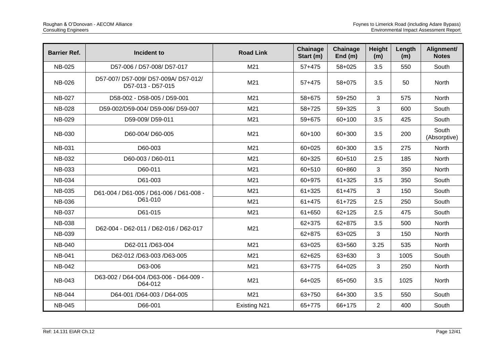| <b>Barrier Ref.</b> | Incident to                                               | <b>Road Link</b>    | Chainage<br>Start (m) | Chainage<br>End $(m)$ | Height<br>(m)  | Length<br>(m) | Alignment/<br><b>Notes</b> |
|---------------------|-----------------------------------------------------------|---------------------|-----------------------|-----------------------|----------------|---------------|----------------------------|
| <b>NB-025</b>       | D57-006 / D57-008/ D57-017                                | M21                 | $57+475$              | 58+025                | 3.5            | 550           | South                      |
| <b>NB-026</b>       | D57-007/ D57-009/ D57-009A/ D57-012/<br>D57-013 - D57-015 | M21                 | $57+475$              | 58+075                | 3.5            | 50            | North                      |
| <b>NB-027</b>       | D58-002 - D58-005 / D59-001                               | M21                 | 58+675                | 59+250                | 3              | 575           | North                      |
| <b>NB-028</b>       | D59-002/D59-004/ D59-006/ D59-007                         | M21                 | 58+725                | 59+325                | 3              | 600           | South                      |
| <b>NB-029</b>       | D59-009/D59-011                                           | M21                 | 59+675                | 60+100                | 3.5            | 425           | South                      |
| <b>NB-030</b>       | D60-004/D60-005                                           | M21                 | 60+100                | 60+300                | 3.5            | 200           | South<br>(Absorptive)      |
| <b>NB-031</b>       | D60-003                                                   | M21                 | 60+025                | 60+300                | 3.5            | 275           | North                      |
| <b>NB-032</b>       | D60-003 / D60-011                                         | M21                 | 60+325                | 60+510                | 2.5            | 185           | North                      |
| <b>NB-033</b>       | D60-011                                                   | M21                 | 60+510                | 60+860                | 3              | 350           | North                      |
| <b>NB-034</b>       | D61-003                                                   | M21                 | 60+975                | $61 + 325$            | 3.5            | 350           | South                      |
| <b>NB-035</b>       | D61-004 / D61-005 / D61-006 / D61-008 -                   | M21                 | $61 + 325$            | $61 + 475$            | 3              | 150           | South                      |
| <b>NB-036</b>       | D61-010                                                   | M21                 | $61 + 475$            | $61 + 725$            | 2.5            | 250           | South                      |
| <b>NB-037</b>       | D61-015                                                   | M21                 | 61+650                | $62 + 125$            | 2.5            | 475           | South                      |
| <b>NB-038</b>       | D62-004 - D62-011 / D62-016 / D62-017                     | M21                 | 62+375                | 62+875                | 3.5            | 500           | <b>North</b>               |
| <b>NB-039</b>       |                                                           |                     | 62+875                | 63+025                | 3              | 150           | North                      |
| <b>NB-040</b>       | D62-011 /D63-004                                          | M21                 | 63+025                | 63+560                | 3.25           | 535           | North                      |
| <b>NB-041</b>       | D62-012 /D63-003 /D63-005                                 | M21                 | 62+625                | 63+630                | 3              | 1005          | South                      |
| <b>NB-042</b>       | D63-006                                                   | M21                 | 63+775                | 64+025                | 3              | 250           | North                      |
| <b>NB-043</b>       | D63-002 / D64-004 /D63-006 - D64-009 -<br>D64-012         | M21                 | 64+025                | 65+050                | 3.5            | 1025          | North                      |
| <b>NB-044</b>       | D64-001 /D64-003 / D64-005                                | M21                 | 63+750                | 64+300                | 3.5            | 550           | South                      |
| <b>NB-045</b>       | D66-001                                                   | <b>Existing N21</b> | 65+775                | 66+175                | $\overline{2}$ | 400           | South                      |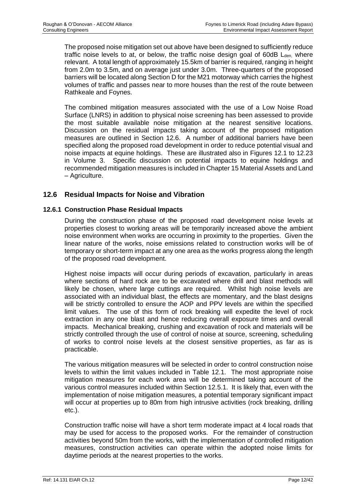The proposed noise mitigation set out above have been designed to sufficiently reduce traffic noise levels to at, or below, the traffic noise design goal of  $60dB$  L<sub>den,</sub> where relevant. A total length of approximately 15.5km of barrier is required, ranging in height from 2.0m to 3.5m, and on average just under 3.0m. Three-quarters of the proposed barriers will be located along Section D for the M21 motorway which carries the highest volumes of traffic and passes near to more houses than the rest of the route between Rathkeale and Foynes.

The combined mitigation measures associated with the use of a Low Noise Road Surface (LNRS) in addition to physical noise screening has been assessed to provide the most suitable available noise mitigation at the nearest sensitive locations. Discussion on the residual impacts taking account of the proposed mitigation measures are outlined in Section 12.6. A number of additional barriers have been specified along the proposed road development in order to reduce potential visual and noise impacts at equine holdings. These are illustrated also in Figures 12.1 to 12.23 in Volume 3. Specific discussion on potential impacts to equine holdings and recommended mitigation measures is included in Chapter 15 Material Assets and Land – Agriculture.

## **12.6 Residual Impacts for Noise and Vibration**

### **12.6.1 Construction Phase Residual Impacts**

During the construction phase of the proposed road development noise levels at properties closest to working areas will be temporarily increased above the ambient noise environment when works are occurring in proximity to the properties. Given the linear nature of the works, noise emissions related to construction works will be of temporary or short-term impact at any one area as the works progress along the length of the proposed road development.

Highest noise impacts will occur during periods of excavation, particularly in areas where sections of hard rock are to be excavated where drill and blast methods will likely be chosen, where large cuttings are required. Whilst high noise levels are associated with an individual blast, the effects are momentary, and the blast designs will be strictly controlled to ensure the AOP and PPV levels are within the specified limit values. The use of this form of rock breaking will expedite the level of rock extraction in any one blast and hence reducing overall exposure times and overall impacts. Mechanical breaking, crushing and excavation of rock and materials will be strictly controlled through the use of control of noise at source, screening, scheduling of works to control noise levels at the closest sensitive properties, as far as is practicable.

The various mitigation measures will be selected in order to control construction noise levels to within the limit values included in [Table 12.1.](#page-2-0) The most appropriate noise mitigation measures for each work area will be determined taking account of the various control measures included within Section 12.5.1. It is likely that, even with the implementation of noise mitigation measures, a potential temporary significant impact will occur at properties up to 80m from high intrusive activities (rock breaking, drilling etc.).

Construction traffic noise will have a short term moderate impact at 4 local roads that may be used for access to the proposed works. For the remainder of construction activities beyond 50m from the works, with the implementation of controlled mitigation measures, construction activities can operate within the adopted noise limits for daytime periods at the nearest properties to the works.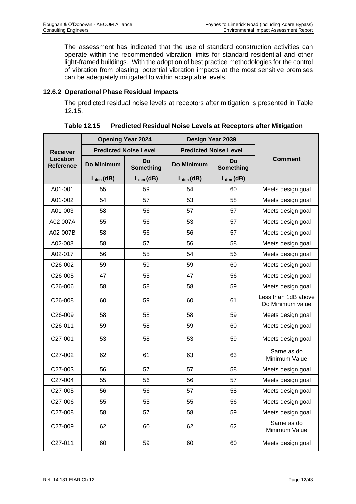The assessment has indicated that the use of standard construction activities can operate within the recommended vibration limits for standard residential and other light-framed buildings. With the adoption of best practice methodologies for the control of vibration from blasting, potential vibration impacts at the most sensitive premises can be adequately mitigated to within acceptable levels.

## **12.6.2 Operational Phase Residual Impacts**

The predicted residual noise levels at receptors after mitigation is presented in [Table](#page-43-0)  [12.15.](#page-43-0)

<span id="page-43-0"></span>

|                              |                | <b>Opening Year 2024</b>     | Design Year 2039             |                        |                                         |  |
|------------------------------|----------------|------------------------------|------------------------------|------------------------|-----------------------------------------|--|
| <b>Receiver</b>              |                | <b>Predicted Noise Level</b> | <b>Predicted Noise Level</b> |                        |                                         |  |
| Location<br><b>Reference</b> | Do Minimum     | Do<br>Something              | Do Minimum                   | Do<br><b>Something</b> | <b>Comment</b>                          |  |
|                              | $L_{den}$ (dB) | $L_{den}$ (dB)               | $L_{den}$ (dB)               | $L_{den}$ (dB)         |                                         |  |
| A01-001                      | 55             | 59                           | 54                           | 60                     | Meets design goal                       |  |
| A01-002                      | 54             | 57                           | 53                           | 58                     | Meets design goal                       |  |
| A01-003                      | 58             | 56                           | 57                           | 57                     | Meets design goal                       |  |
| A02 007A                     | 55             | 56                           | 53                           | 57                     | Meets design goal                       |  |
| A02-007B                     | 58             | 56                           | 56                           | 57                     | Meets design goal                       |  |
| A02-008                      | 58             | 57                           | 56                           | 58                     | Meets design goal                       |  |
| A02-017                      | 56             | 55                           | 54                           | 56                     | Meets design goal                       |  |
| C <sub>26</sub> -002         | 59             | 59                           | 59                           | 60                     | Meets design goal                       |  |
| C26-005                      | 47             | 55                           | 47                           | 56                     | Meets design goal                       |  |
| C26-006                      | 58             | 58                           | 58                           | 59                     | Meets design goal                       |  |
| C26-008                      | 60             | 59                           | 60                           | 61                     | Less than 1dB above<br>Do Minimum value |  |
| C26-009                      | 58             | 58                           | 58                           | 59                     | Meets design goal                       |  |
| C26-011                      | 59             | 58                           | 59                           | 60                     | Meets design goal                       |  |
| C27-001                      | 53             | 58                           | 53                           | 59                     | Meets design goal                       |  |
| C27-002                      | 62             | 61                           | 63                           | 63                     | Same as do<br>Minimum Value             |  |
| C27-003                      | 56             | 57                           | 57                           | 58                     | Meets design goal                       |  |
| C27-004                      | 55             | 56                           | 56                           | 57                     | Meets design goal                       |  |
| C27-005                      | 56             | 56                           | 57                           | 58                     | Meets design goal                       |  |
| C27-006                      | 55             | 55                           | 55                           | 56                     | Meets design goal                       |  |
| C27-008                      | 58             | 57                           | 58                           | 59                     | Meets design goal                       |  |
| C27-009                      | 62             | 60                           | 62                           | 62                     | Same as do<br>Minimum Value             |  |
| C27-011                      | 60             | 59                           | 60                           | 60                     | Meets design goal                       |  |

**Table 12.15 Predicted Residual Noise Levels at Receptors after Mitigation**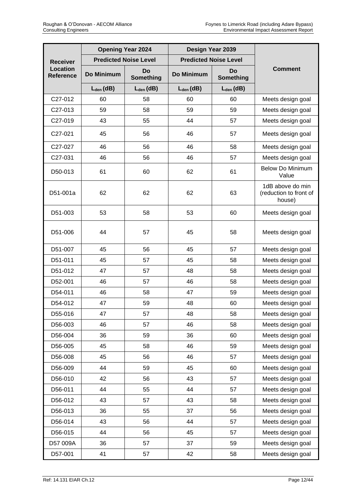|                                     |                | <b>Opening Year 2024</b>     | Design Year 2039             |                        |                                                      |  |
|-------------------------------------|----------------|------------------------------|------------------------------|------------------------|------------------------------------------------------|--|
| <b>Receiver</b>                     |                | <b>Predicted Noise Level</b> | <b>Predicted Noise Level</b> |                        |                                                      |  |
| <b>Location</b><br><b>Reference</b> | Do Minimum     | Do<br>Something              | Do Minimum                   | <b>Do</b><br>Something | <b>Comment</b>                                       |  |
|                                     | $L_{den}$ (dB) | $L_{den}$ (dB)               | $L_{den}$ (dB)               | $L_{den}$ (dB)         |                                                      |  |
| C27-012                             | 60             | 58                           | 60                           | 60                     | Meets design goal                                    |  |
| C27-013                             | 59             | 58                           | 59                           | 59                     | Meets design goal                                    |  |
| C27-019                             | 43             | 55                           | 44                           | 57                     | Meets design goal                                    |  |
| C27-021                             | 45             | 56                           | 46                           | 57                     | Meets design goal                                    |  |
| C27-027                             | 46             | 56                           | 46                           | 58                     | Meets design goal                                    |  |
| C27-031                             | 46             | 56                           | 46                           | 57                     | Meets design goal                                    |  |
| D50-013                             | 61             | 60                           | 62                           | 61                     | <b>Below Do Minimum</b><br>Value                     |  |
| D51-001a                            | 62             | 62                           | 62                           | 63                     | 1dB above do min<br>(reduction to front of<br>house) |  |
| D51-003                             | 53             | 58                           | 53                           | 60                     | Meets design goal                                    |  |
| D51-006                             | 44             | 57                           | 45                           | 58                     | Meets design goal                                    |  |
| D51-007                             | 45             | 56                           | 45                           | 57                     | Meets design goal                                    |  |
| D51-011                             | 45             | 57                           | 45                           | 58                     | Meets design goal                                    |  |
| D51-012                             | 47             | 57                           | 48                           | 58                     | Meets design goal                                    |  |
| D52-001                             | 46             | 57                           | 46                           | 58                     | Meets design goal                                    |  |
| D54-011                             | 46             | 58                           | 47                           | 59                     | Meets design goal                                    |  |
| D54-012                             | 47             | 59                           | 48                           | 60                     | Meets design goal                                    |  |
| D55-016                             | 47             | 57                           | 48                           | 58                     | Meets design goal                                    |  |
| D56-003                             | 46             | 57                           | 46                           | 58                     | Meets design goal                                    |  |
| D56-004                             | 36             | 59                           | 36                           | 60                     | Meets design goal                                    |  |
| D56-005                             | 45             | 58                           | 46                           | 59                     | Meets design goal                                    |  |
| D56-008                             | 45             | 56                           | 46                           | 57                     | Meets design goal                                    |  |
| D56-009                             | 44             | 59                           | 45                           | 60                     | Meets design goal                                    |  |
| D56-010                             | 42             | 56                           | 43                           | 57                     | Meets design goal                                    |  |
| D56-011                             | 44             | 55                           | 44                           | 57                     | Meets design goal                                    |  |
| D56-012                             | 43             | 57                           | 43                           | 58                     | Meets design goal                                    |  |
| D56-013                             | 36             | 55                           | 37                           | 56                     | Meets design goal                                    |  |
| D56-014                             | 43             | 56                           | 44                           | 57                     | Meets design goal                                    |  |
| D56-015                             | 44             | 56                           | 45                           | 57                     | Meets design goal                                    |  |
| D57 009A                            | 36             | 57                           | 37                           | 59                     | Meets design goal                                    |  |
| D57-001                             | 41             | 57                           | 42                           | 58                     | Meets design goal                                    |  |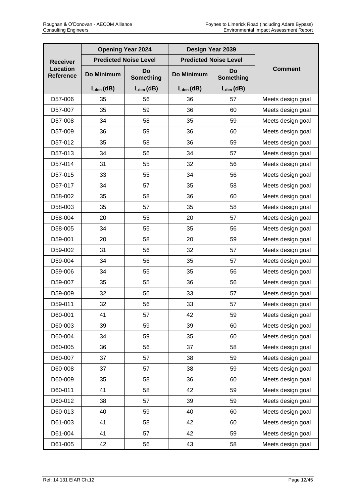| <b>Opening Year 2024</b>            |                |                              | Design Year 2039             |                        |                   |  |
|-------------------------------------|----------------|------------------------------|------------------------------|------------------------|-------------------|--|
| <b>Receiver</b>                     |                | <b>Predicted Noise Level</b> | <b>Predicted Noise Level</b> |                        |                   |  |
| <b>Location</b><br><b>Reference</b> | Do Minimum     | Do<br>Something              | Do Minimum                   | Do<br><b>Something</b> | <b>Comment</b>    |  |
|                                     | $L_{den}$ (dB) | $L_{den}$ (dB)               | $L_{den}$ (dB)               | $L_{den}$ (dB)         |                   |  |
| D57-006                             | 35             | 56                           | 36                           | 57                     | Meets design goal |  |
| D57-007                             | 35             | 59                           | 36                           | 60                     | Meets design goal |  |
| D57-008                             | 34             | 58                           | 35                           | 59                     | Meets design goal |  |
| D57-009                             | 36             | 59                           | 36                           | 60                     | Meets design goal |  |
| D57-012                             | 35             | 58                           | 36                           | 59                     | Meets design goal |  |
| D57-013                             | 34             | 56                           | 34                           | 57                     | Meets design goal |  |
| D57-014                             | 31             | 55                           | 32                           | 56                     | Meets design goal |  |
| D57-015                             | 33             | 55                           | 34                           | 56                     | Meets design goal |  |
| D57-017                             | 34             | 57                           | 35                           | 58                     | Meets design goal |  |
| D58-002                             | 35             | 58                           | 36                           | 60                     | Meets design goal |  |
| D58-003                             | 35             | 57                           | 35                           | 58                     | Meets design goal |  |
| D58-004                             | 20             | 55                           | 20                           | 57                     | Meets design goal |  |
| D58-005                             | 34             | 55                           | 35                           | 56                     | Meets design goal |  |
| D59-001                             | 20             | 58                           | 20                           | 59                     | Meets design goal |  |
| D59-002                             | 31             | 56                           | 32                           | 57                     | Meets design goal |  |
| D59-004                             | 34             | 56                           | 35                           | 57                     | Meets design goal |  |
| D59-006                             | 34             | 55                           | 35                           | 56                     | Meets design goal |  |
| D59-007                             | 35             | 55                           | 36                           | 56                     | Meets design goal |  |
| D59-009                             | 32             | 56                           | 33                           | 57                     | Meets design goal |  |
| D59-011                             | 32             | 56                           | 33                           | 57                     | Meets design goal |  |
| D60-001                             | 41             | 57                           | 42                           | 59                     | Meets design goal |  |
| D60-003                             | 39             | 59                           | 39                           | 60                     | Meets design goal |  |
| D60-004                             | 34             | 59                           | 35                           | 60                     | Meets design goal |  |
| D60-005                             | 36             | 56                           | 37                           | 58                     | Meets design goal |  |
| D60-007                             | 37             | 57                           | 38                           | 59                     | Meets design goal |  |
| D60-008                             | 37             | 57                           | 38                           | 59                     | Meets design goal |  |
| D60-009                             | 35             | 58                           | 36                           | 60                     | Meets design goal |  |
| D60-011                             | 41             | 58                           | 42                           | 59                     | Meets design goal |  |
| D60-012                             | 38             | 57                           | 39                           | 59                     | Meets design goal |  |
| D60-013                             | 40             | 59                           | 40                           | 60                     | Meets design goal |  |
| D61-003                             | 41             | 58                           | 42                           | 60                     | Meets design goal |  |
| D61-004                             | 41             | 57                           | 42                           | 59                     | Meets design goal |  |
| D61-005                             | 42             | 56                           | 43                           | 58                     | Meets design goal |  |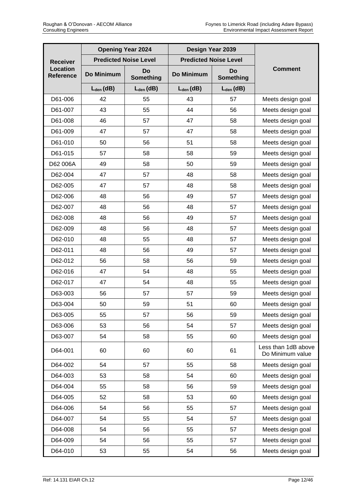|                                     |                | <b>Opening Year 2024</b>     | Design Year 2039             |                        |                                         |
|-------------------------------------|----------------|------------------------------|------------------------------|------------------------|-----------------------------------------|
| <b>Receiver</b>                     |                | <b>Predicted Noise Level</b> | <b>Predicted Noise Level</b> |                        |                                         |
| <b>Location</b><br><b>Reference</b> | Do Minimum     | Do<br>Something              | Do Minimum                   | <b>Do</b><br>Something | <b>Comment</b>                          |
|                                     | $L_{den}$ (dB) | $L_{den}$ (dB)               | $L_{den}$ (dB)               | $L_{den}$ (dB)         |                                         |
| D61-006                             | 42             | 55                           | 43                           | 57                     | Meets design goal                       |
| D61-007                             | 43             | 55                           | 44                           | 56                     | Meets design goal                       |
| D61-008                             | 46             | 57                           | 47                           | 58                     | Meets design goal                       |
| D61-009                             | 47             | 57                           | 47                           | 58                     | Meets design goal                       |
| D61-010                             | 50             | 56                           | 51                           | 58                     | Meets design goal                       |
| D61-015                             | 57             | 58                           | 58                           | 59                     | Meets design goal                       |
| D62 006A                            | 49             | 58                           | 50                           | 59                     | Meets design goal                       |
| D62-004                             | 47             | 57                           | 48                           | 58                     | Meets design goal                       |
| D62-005                             | 47             | 57                           | 48                           | 58                     | Meets design goal                       |
| D62-006                             | 48             | 56                           | 49                           | 57                     | Meets design goal                       |
| D62-007                             | 48             | 56                           | 48                           | 57                     | Meets design goal                       |
| D62-008                             | 48             | 56                           | 49                           | 57                     | Meets design goal                       |
| D62-009                             | 48             | 56                           | 48                           | 57                     | Meets design goal                       |
| D62-010                             | 48             | 55                           | 48                           | 57                     | Meets design goal                       |
| D62-011                             | 48             | 56                           | 49                           | 57                     | Meets design goal                       |
| D62-012                             | 56             | 58                           | 56                           | 59                     | Meets design goal                       |
| D62-016                             | 47             | 54                           | 48                           | 55                     | Meets design goal                       |
| D62-017                             | 47             | 54                           | 48                           | 55                     | Meets design goal                       |
| D63-003                             | 56             | 57                           | 57                           | 59                     | Meets design goal                       |
| D63-004                             | 50             | 59                           | 51                           | 60                     | Meets design goal                       |
| D63-005                             | 55             | 57                           | 56                           | 59                     | Meets design goal                       |
| D63-006                             | 53             | 56                           | 54                           | 57                     | Meets design goal                       |
| D63-007                             | 54             | 58                           | 55                           | 60                     | Meets design goal                       |
| D64-001                             | 60             | 60                           | 60                           | 61                     | Less than 1dB above<br>Do Minimum value |
| D64-002                             | 54             | 57                           | 55                           | 58                     | Meets design goal                       |
| D64-003                             | 53             | 58                           | 54                           | 60                     | Meets design goal                       |
| D64-004                             | 55             | 58                           | 56                           | 59                     | Meets design goal                       |
| D64-005                             | 52             | 58                           | 53                           | 60                     | Meets design goal                       |
| D64-006                             | 54             | 56                           | 55                           | 57                     | Meets design goal                       |
| D64-007                             | 54             | 55                           | 54                           | 57                     | Meets design goal                       |
| D64-008                             | 54             | 56                           | 55                           | 57                     | Meets design goal                       |
| D64-009                             | 54             | 56                           | 55                           | 57                     | Meets design goal                       |
| D64-010                             | 53             | 55                           | 54                           | 56                     | Meets design goal                       |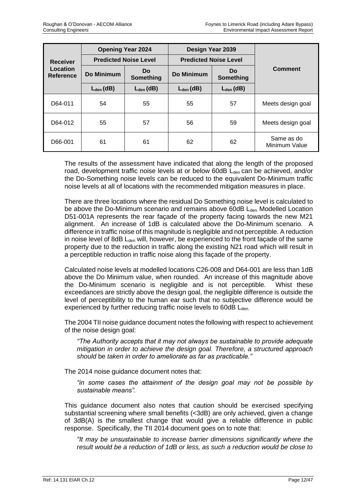|                              |                | <b>Opening Year 2024</b>     |                              | Design Year 2039       |                             |  |
|------------------------------|----------------|------------------------------|------------------------------|------------------------|-----------------------------|--|
| Receiver                     |                | <b>Predicted Noise Level</b> | <b>Predicted Noise Level</b> |                        |                             |  |
| Location<br><b>Reference</b> | Do Minimum     | <b>Do</b><br>Something       | Do Minimum                   | <b>Do</b><br>Something | <b>Comment</b>              |  |
|                              | $L_{den}$ (dB) | $L_{den}$ (dB)               | $L_{den}$ (dB)               | $L_{den}$ (dB)         |                             |  |
| D64-011                      | 54             | 55                           | 55                           | 57                     | Meets design goal           |  |
| D64-012                      | 55             | 57                           | 56                           | 59                     | Meets design goal           |  |
| D66-001                      | 61             | 61                           | 62                           | 62                     | Same as do<br>Minimum Value |  |

The results of the assessment have indicated that along the length of the proposed road, development traffic noise levels at or below 60dB L<sub>den</sub> can be achieved, and/or the Do-Something noise levels can be reduced to the equivalent Do-Minimum traffic noise levels at all of locations with the recommended mitigation measures in place.

There are three locations where the residual Do Something noise level is calculated to be above the Do-Minimum scenario and remains above 60dB  $L_{den}$ . Modelled Location D51-001A represents the rear façade of the property facing towards the new M21 alignment. An increase of 1dB is calculated above the Do-Minimum scenario. A difference in traffic noise of this magnitude is negligible and not perceptible. A reduction in noise level of 8dB  $L<sub>den</sub>$  will, however, be experienced to the front façade of the same property due to the reduction in traffic along the existing N21 road which will result in a perceptible reduction in traffic noise along this façade of the property.

Calculated noise levels at modelled locations C26-008 and D64-001 are less than 1dB above the Do Minimum value, when rounded. An increase of this magnitude above the Do-Minimum scenario is negligible and is not perceptible. Whist these exceedances are strictly above the design goal, the negligible difference is outside the level of perceptibility to the human ear such that no subjective difference would be experienced by further reducing traffic noise levels to  $60$ dB L<sub>den</sub>.

The 2004 TII noise guidance document notes the following with respect to achievement of the noise design goal:

*"The Authority accepts that it may not always be sustainable to provide adequate mitigation in order to achieve the design goal. Therefore, a structured approach should* be *taken in order to ameliorate as far as practicable."*

The 2014 noise guidance document notes that:

*"in some cases the attainment of the design goal may not be possible by sustainable means".* 

This guidance document also notes that caution should be exercised specifying substantial screening where small benefits (<3dB) are only achieved, given a change of 3dB(A) is the smallest change that would give a reliable difference in public response. Specifically, the TII 2014 document goes on to note that:

*"It may be unsustainable to increase barrier dimensions significantly where the result would be a reduction of 1dB or less, as such a reduction would be close to*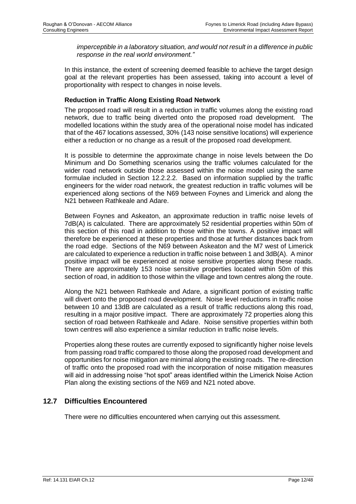*imperceptible in a laboratory situation, and would not result in a difference in public response in the real world environment."* 

In this instance, the extent of screening deemed feasible to achieve the target design goal at the relevant properties has been assessed, taking into account a level of proportionality with respect to changes in noise levels.

### **Reduction in Traffic Along Existing Road Network**

The proposed road will result in a reduction in traffic volumes along the existing road network, due to traffic being diverted onto the proposed road development. The modelled locations within the study area of the operational noise model has indicated that of the 467 locations assessed, 30% (143 noise sensitive locations) will experience either a reduction or no change as a result of the proposed road development.

It is possible to determine the approximate change in noise levels between the Do Minimum and Do Something scenarios using the traffic volumes calculated for the wider road network outside those assessed within the noise model using the same formulae included in Section 12.2.2.2. Based on information supplied by the traffic engineers for the wider road network, the greatest reduction in traffic volumes will be experienced along sections of the N69 between Foynes and Limerick and along the N21 between Rathkeale and Adare.

Between Foynes and Askeaton, an approximate reduction in traffic noise levels of 7dB(A) is calculated. There are approximately 52 residential properties within 50m of this section of this road in addition to those within the towns. A positive impact will therefore be experienced at these properties and those at further distances back from the road edge. Sections of the N69 between Askeaton and the M7 west of Limerick are calculated to experience a reduction in traffic noise between 1 and 3dB(A). A minor positive impact will be experienced at noise sensitive properties along these roads. There are approximately 153 noise sensitive properties located within 50m of this section of road, in addition to those within the village and town centres along the route.

Along the N21 between Rathkeale and Adare, a significant portion of existing traffic will divert onto the proposed road development. Noise level reductions in traffic noise between 10 and 13dB are calculated as a result of traffic reductions along this road, resulting in a major positive impact. There are approximately 72 properties along this section of road between Rathkeale and Adare. Noise sensitive properties within both town centres will also experience a similar reduction in traffic noise levels.

Properties along these routes are currently exposed to significantly higher noise levels from passing road traffic compared to those along the proposed road development and opportunities for noise mitigation are minimal along the existing roads. The re-direction of traffic onto the proposed road with the incorporation of noise mitigation measures will aid in addressing noise "hot spot" areas identified within the Limerick Noise Action Plan along the existing sections of the N69 and N21 noted above.

## **12.7 Difficulties Encountered**

There were no difficulties encountered when carrying out this assessment.